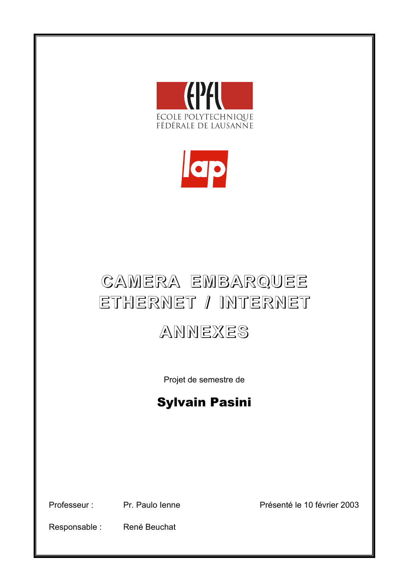



# **CAMERA EMBARQUEE EMBARQUEE ETHERNET ETHERNET / INTERNET INTERNET**

# **ANNEXES ANNEXES**

Projet de semestre de

# Sylvain Pasini

Professeur : Pr. Paulo Ienne Presenté le 10 février 2003

Responsable : René Beuchat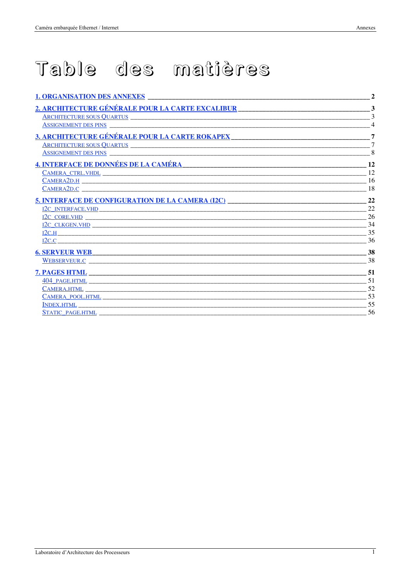# Table des matières

| 1. ORGANISATION DES ANNEXES                                                                                                                                                                                                    | $\mathbf{2}$   |
|--------------------------------------------------------------------------------------------------------------------------------------------------------------------------------------------------------------------------------|----------------|
| 2. ARCHITECTURE GÉNÉRALE POUR LA CARTE EXCALIBUR                                                                                                                                                                               | 3              |
| ARCHITECTURE SOUS QUARTUS CONSENSE AND ARCHITECTURE SOUS QUARTUS                                                                                                                                                               | $\mathbf{3}$   |
| <b>ASSIGNEMENT DES PINS</b>                                                                                                                                                                                                    | $\overline{4}$ |
| 3. ARCHITECTURE GÉNÉRALE POUR LA CARTE ROKAPEX                                                                                                                                                                                 | $\overline{7}$ |
| ARCHITECTURE SOUS QUARTUS                                                                                                                                                                                                      | $\overline{7}$ |
| <b>ASSIGNEMENT DES PINS</b>                                                                                                                                                                                                    | 8              |
| 4. INTERFACE DE DONNÉES DE LA CAMÉRA                                                                                                                                                                                           | 12             |
|                                                                                                                                                                                                                                | 12             |
|                                                                                                                                                                                                                                | 16             |
|                                                                                                                                                                                                                                | 18             |
| <b>5. INTERFACE DE CONFIGURATION DE LA CAMERA (I2C)</b>                                                                                                                                                                        | 22             |
| I2C INTERFACE.VHD CONTROLLER CONTROLLER CONTROLLER CONTROLLER CONTROLLER CONTROLLER CONTROLLER CONTROLLER CONTROLLER CONTROLLER CONTROLLER CONTROLLER CONTROLLER CONTROLLER CONTROLLER CONTROLLER CONTROLLER CONTROLLER CONTRO | 22             |
| <u>I2C CORE.VHD</u>                                                                                                                                                                                                            | 26             |
|                                                                                                                                                                                                                                | 34             |
|                                                                                                                                                                                                                                | 35             |
| <u>I2C.C</u>                                                                                                                                                                                                                   | 36             |
| <b>6. SERVEUR WEB</b>                                                                                                                                                                                                          | 38             |
| WEBSERVEUR.C <b>Example 2018</b>                                                                                                                                                                                               | 38             |
| <b>7. PAGES HTML</b>                                                                                                                                                                                                           | 51             |
|                                                                                                                                                                                                                                | 51             |
| <b>CAMERA.HTML</b>                                                                                                                                                                                                             | 52             |
|                                                                                                                                                                                                                                | 53             |
|                                                                                                                                                                                                                                | 55             |
|                                                                                                                                                                                                                                | 56             |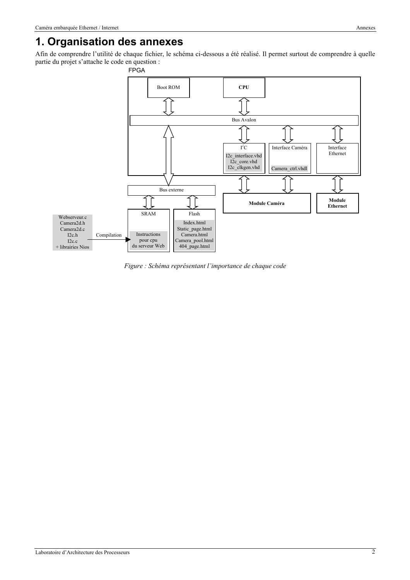### **1. Organisation des annexes**

Afin de comprendre l'utilité de chaque fichier, le schéma ci-dessous a été réalisé. Il permet surtout de comprendre à quelle partie du projet s'attache le code en question :



*Figure : Schéma représentant l'importance de chaque code*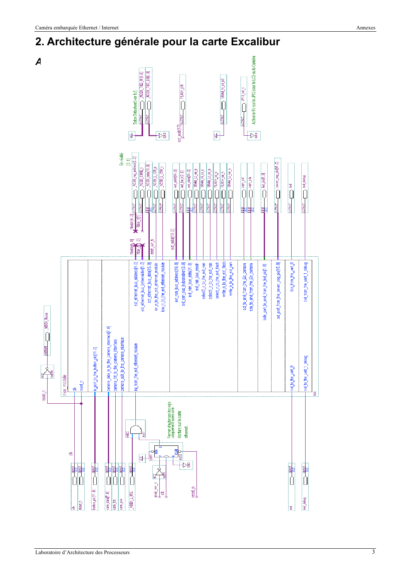## **2. Architecture générale pour la carte Excalibur**

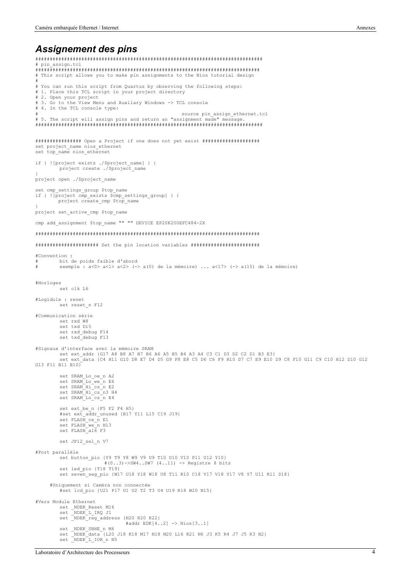#### *Assignement des pins*

Laboratoire d'Architecture des Processeurs 4 ############################################################################### # pin\_assign.tcl ############################################################################## # This script allows you to make pin assignments to the Nios tutorial design # # You can run this script from Quartus by observing the following steps: # 1. Place this TCL script in your project directory # 2. Open your project # 3. Go to the View Menu and Auxilary Windows -> TCL console # 4. In the TCL console type: source pin\_assign\_ethernet.tcl # 5. The script will assign pins and return an "assignment made" message ############################################################################### ################ Open a Project if one does not yet exist #################### set project\_name nios\_ethernet set top\_name nios\_ethernet if { ![project exists ./\$project\_name] } { project create ./\$project name  $\mathbf{r}$ project open ./\$project\_name set cmp\_settings\_group \$top\_name if { ![project cmp\_exists \$cmp\_settings\_group] } { project create cmp \$top name } project set active cmp \$top name cmp add assignment \$top\_name "" "" DEVICE EP20K200EFC484-2X ############################################################################## ###################### Set the pin location variables ######################## #Convention : bit de poids faible d'abord exemple : a<0> a<1> a<2> (-> a(0) de la mémoire) ... a<17> (-> a(15) de la mémoire) #Horloges set clk L6 #Logidule : reset set reset\_n F12 #Communication série set rxd W8 set txd D15 set rxd\_debug F14 set txd\_debug F13 #Signaux d'interface avec la mémoire SRAM set ext\_addr {G17 A8 B8 A7 B7 B6 A6 A5 B5 B4 A3 A4 C3 C1 D3 D2 C2 D1 B3 E3} set ext\_data {C4 H11 G10 D8 E7 D4 D5 G9 F8 E8 C5 D6 C6 F9 H10 D7 C7 E9 E10 D9 C8 F10 G11 C9 C10 H12 D10 G12 G13 F11 B11 B10} set SRAM\_Lo\_oe\_n A2 set SRAM\_Lo\_we\_n E6 set SRAM\_Hi\_cs\_n E2 set SRAM<sup>Hics</sup>n3 H4 set SRAM\_Lo\_cs\_n E4 set ext\_be\_n {F5 F2 F4 H5} #set ext\_addr\_unused {B17 Y11 L15 C19 J19} set FLASH\_ce\_n E1 set FLASH\_we\_n H13 set FLASH\_a16 F3 set JP12 sel n V7 #Port parallèle set button\_pio {Y9 T9 Y8 W9 V9 U9 T10 U10 V10 P11 U12 Y10} #(0..3)->SW4..SW7 (4..11) -> Registre 8 bits set led\_pio {T18 T19} set seven\_seg\_pio {W17 U18 Y18 W18 U8 T11 R10 C18 V17 V18 Y17 V8 Y7 U11 R11 D18} #Uniquement si Caméra non connectée #set lcd\_pio {U21 P17 U1 U2 T2 T3 U4 U19 R18 W20 N15} #Vers Module Ethernet set \_NDEK\_Reset M16 set \_NDEK\_L\_IRQ J1 set \_NDEK\_reg\_address {N20 K20 K22} #addr EDK[4..2] -> Nios[3..1] set \_NDEK\_SBHE\_n M6<br>set \_NDEK\_data {L20 J18 K18 M17 N18 M20 L16 R21 N6 J3 K5 R4 J7 J5 K3 N2}<br>set \_NDEK\_L\_IOR\_n N5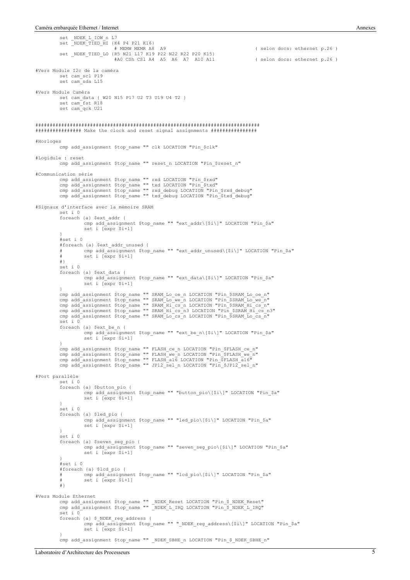set \_NDEK\_L\_IOW\_n L7 set \_NDEK\_TIED\_HI {K4 P4 P21 K16} # MEMW MEMR A8 A9 ( selon docs: ethernet p.26 ) set \_NDEK\_TIED\_LO {R5 N21 L17 K19 P22 N22 R22 P20 K15} #A0 CSh CSl A4 A5 A6 A7 A10 A11 ( selon docs: ethernet p.26 ) #Vers Module I2c de la caméra set cam\_scl P19 set cam\_sda L15 #Vers Module Caméra set cam\_data { W20 N15 P17 U2 T3 U19 U4 T2 } set cam\_fst R18 set cam\_qck U21 ############################################################################## ################ Make the clock and reset signal assignments ################ #Horloges cmp add\_assignment \$top\_name "" clk LOCATION "Pin\_\$clk" #Logidule : reset cmp add\_assignment \$top\_name "" reset\_n LOCATION "Pin\_\$reset\_n" #Communication série cmp add\_assignment \$top\_name "" rxd LOCATION "Pin\_\$rxd"<br>cmp add\_assignment \$top\_name "" txd LOCATION "Pin\_\$txd"<br>cmp add\_assignment \$top\_name "" rxd\_debug LOCATION "Pin\_\$rxd\_debug"<br>cmp add\_assignment \$top\_name "" txd\_debug #Signaux d'interface avec la mémoire SRAM set i 0 foreach {a} \$ext\_addr { cmp add\_assignment \$top\_name "" "ext\_addr\[\$i\]" LOCATION "Pin\_\$a" set i [expr \$i+1] } #set i 0 #foreach {a} \$ext\_addr\_unused { # cmp add\_assignment \$top\_name "" "ext\_addr\_unused\[\$i\]" LOCATION "Pin\_\$a" # set i [expr \$i+1] #} set i 0 foreach {a} \$ext\_data { cmp add\_assignment \$top\_name "" "ext\_data\[\$i\]" LOCATION "Pin\_\$a" set i [expr \$i+1]  $\mathcal{L}$ cmp add\_assignment \$top\_name "" SRAM\_Lo\_oe\_n LOCATION "Pin\_\$SRAM\_Lo\_oe\_n" cmp add\_assignment \$top\_name "" SRAM\_Lo\_we\_n LOCATION "Pin\_\$SRAM\_Lo\_we\_n"<br>cmp add\_assignment \$top\_name "" SRAM\_Hi\_cs\_n LOCATION "Pin\_\$SRAM\_Hi\_cs\_n"<br>cmp add\_assignment \$top\_name "" SRAM\_Hi\_cs\_n3 LOCATION "Pin\_\$SRAM\_Hi\_cs\_n3 set i 0 foreach {a} \$ext\_be\_n { cmp add assignment \$top name "" "ext be n\[\$i\]" LOCATION "Pin \$a" set i [expr \$i+1] } cmp add\_assignment \$top\_name "" FLASH\_ce\_n LOCATION "Pin\_\$FLASH\_ce\_n"<br>cmp add\_assignment \$top\_name "" FLASH\_we\_n LOCATION "Pin\_\$FLASH\_we\_n"<br>cmp add\_assignment \$top\_name "" FLASH\_al6 LOCATION "Pin\_\$FLASH\_al6"<br>cmp add assign #Port parallèle set i 0 foreach {a} \$button\_pio { cmp add\_assignment \$top\_name "" "button\_pio\[\$i\]" LOCATION "Pin\_\$a" set i [expr \$i+1] }  $\overline{S}$ foreach {a} \$led\_pio { cmp add assignment \$top name "" "led pio\[\$i\]" LOCATION "Pin \$a" set i [expr \$i+1] } set i 0 foreach {a} \$seven\_seg\_pio { cmp add\_assignment \$top\_name "" "seven\_seg\_pio\[\$i\]" LOCATION "Pin\_\$a" set i [expr \$i+1] } #set i 0 #foreach {a} \$lcd\_pio { # cmp add\_assignment \$top\_name "" "lcd\_pio\[\$i\]" LOCATION "Pin\_\$a" # set i [expr \$i+1] #} #Vers Module Ethernet cmp add\_assignment \$top\_name "" \_NDEK\_Reset LOCATION "Pin\_\$\_NDEK\_Reset" cmp add\_assignment \$top\_name "" \_NDEK\_L\_IRQ LOCATION "Pin\_\$\_NDEK\_L\_IRQ" set i 0 foreach {a} \$\_NDEK\_reg\_address { cmp add\_assignment \$top\_name "" "\_NDEK\_reg\_address\[\$i\]" LOCATION "Pin\_\$a" set i [expr \$i+1] } cmp add\_assignment \$top\_name "" \_NDEK\_SBHE\_n LOCATION "Pin\_\$\_NDEK\_SBHE\_n"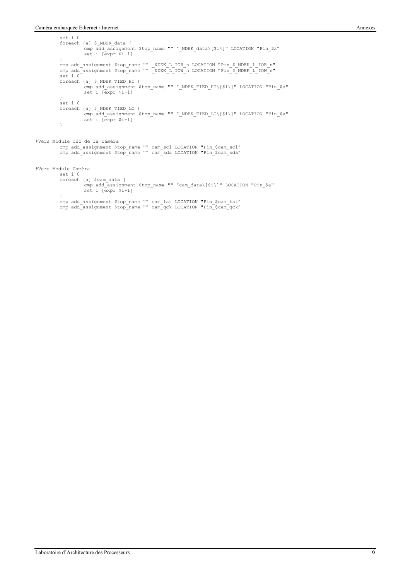set i 0

foreach {a} \$\_NDEK\_data { cmp add\_assignment \$top\_name "" "\_NDEK\_data\[\$i\]" LOCATION "Pin\_\$a" set i [expr \$i+1] } cmp add\_assignment \$top\_name "" \_NDEK\_L\_IOR\_n LOCATION "Pin\_\$\_NDEK\_L\_IOR\_n"<br>cmp add assignment \$top\_name "" \_NDEK\_L\_IOW\_n LOCATION "Pin\_\$\_NDEK\_L\_IOW\_n" set i 0 foreach {a} \$\_NDEK\_TIED\_HI { cmp add\_assignment \$top\_name "" "\_NDEK\_TIED\_HI\[\$i\]" LOCATION "Pin\_\$a" set i [expr \$i+1] } set i 0 foreach {a} \$\_NDEK\_TIED\_LO { cmp add\_assignment \$top\_name "" "\_NDEK\_TIED\_LO\[\$i\]" LOCATION "Pin\_\$a" set i [expr \$i+1] } #Vers Module I2c de la caméra cmp add\_assignment \$top\_name "" cam\_scl LOCATION "Pin\_\$cam\_scl" cmp add\_assignment \$top\_name "" cam\_sda LOCATION "Pin\_\$cam\_sda" #Vers Module Caméra set i 0 foreach {a} \$cam\_data { cmp add\_assignment \$top\_name "" "cam\_data\[\$i\]" LOCATION "Pin\_\$a" set i [expr \$i+1] } cmp add\_assignment \$top\_name "" cam\_fst LOCATION "Pin\_\$cam\_fst" cmp add\_assignment \$top\_name "" cam\_qck LOCATION "Pin\_\$cam\_qck"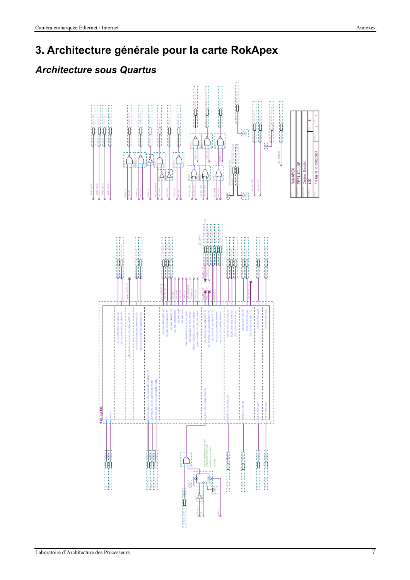# *Architecture sous Quartus*

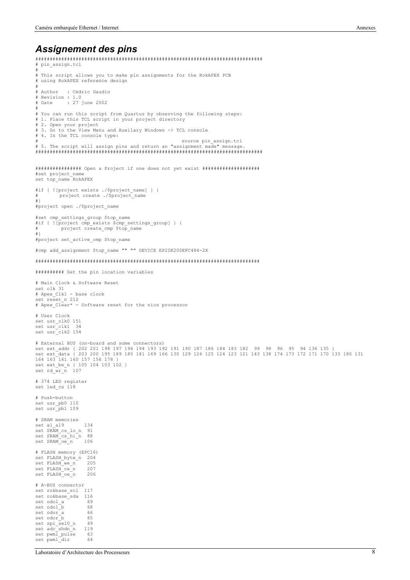#### *Assignement des pins*

```
###############################################################################
# pin_assign.tcl
#
.<br># This script allows you to make pin assignments for the RokAPEX PCB
# using RokAPEX reference design
#
# Author : Cédric Gaudin
# Revision : 1.0<br># Date : 27
          .... : 1:0<br>2002 : 27 june :
#
# You can run this script from Quartus by observing the following steps:
# 1. Place this TCL script in your project directory
# 2. Open your project
# 3. Go to the View Menu and Auxilary Windows -> TCL console
# 4. In the TCL console type:
                                                                 source pin assign.tcl
# 5. The script will assign pins and return an "assignment made" message.
###############################################################################
################ Open a Project if one does not yet exist ####################
#set project_name
set top_name RokAPEX
#if { ![project exists ./$project_name] } {
# project create ./$project_name
+}
#project open ./$project_name
#set cmp_settings_group $top_name
#if { ![project cmp_exists $cmp_settings_group] } {
# project create cmp $top name
#}
#project set_active_cmp $top_name
#cmp add_assignment $top_name "" "" DEVICE EP20K200EFC484-2X
##############################################################################
########## Set the pin location variables
# Main Clock & Software Reset
set clk 31
# Apex_Clk1 - base clock
set reset_n 212
# Apex_Clear* - Software reset for the nios processor
# User Clock
set usr_clk0 151
set usr<sup>-</sup>clk1 34
set usr<sup>-</sup>clk2 154
# External BUS (on-board and some connectors)
set ext_addr { 202 201 198 197 196 194 193 192 191 190 187 186 184 183 182 99 98 96 95 94 136 135 }
set ext_data { 203 200 195 189 185 181 169 166 130 129 126 125 124 123 121 143 138 174 173 172 171 170 133 180 131
164 163 161 160 157 156 178 }
set ext_be_n { 105 104 103 102 }
set rd_wr_n 107
# 374 LED register
set led cs 118
# Push-button
set usr_pb0 110
set usr_pb1 109
# SRAM memories
set a1_a19 134
set SRAM_cs_lo_n 91
set SRAM_cs_hi_n 88
set SRAM oe^-n - 106
# FLASH memory (EPC16)
set FLASH_byte_n 204
set FLASH_we_n 205
set FLASH_ce_n 207<br>set FLASH_ce_n 206
set FLASH_oe_n
# A-BUS connector
set rokbase scl 117
set rokbase_sda 116
set odol_a <sup>1</sup> 69<br>set odol b 68
\begin{array}{ccc} \text{set odd} \\ \text{set odd} \\ \text{set odd} \\ \end{array}set odor<sup>--</sup>a 66<br>set odor b 65
\begin{array}{ccc}\n\text{set odor} & - \\
\text{set odor} & - \\
\text{set sn} & \text{sel} & n\n\end{array}set spi_sel0_n -set adc_shdn_n 119
set pwml_pulse 63
set pwml<sup>dir</sup> 64
```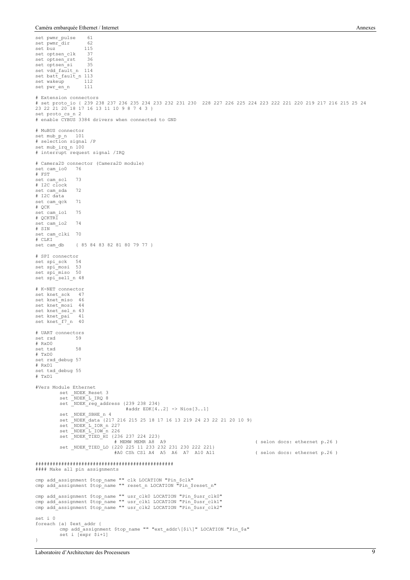set pwmr\_pulse 61<br>set pwmr dir 62 set pwmr\_dir 62<br>set buz 115 set buz <sup>-</sup> 115<br>set optsen clk 37 set optsen\_clk 37<br>set optsen\_rst 36 set optsen\_rst 36<br>set optsen\_si 35 set optsen\_si set vdd\_fault\_n 114 set batt\_fault\_n 113<br>set wakeup 112  $\frac{1}{\text{set wakeup}}$  - 112<br>set pwr en n 111 set pwr\_en\_n # Extension connectors # set proto\_io { 239 238 237 236 235 234 233 232 231 230 228 227 226 225 224 223 222 221 220 219 217 216 215 25 24 23 22 21 20 18 17 16 13 11 10 9 8 7 4 3 } set proto cs\_n 2 # enable CYBUS 3384 drivers when connected to GND # MuBUS connector set mub\_p\_n 101 # selection signal /P set mub\_irq\_n 100 # interrupt request signal /IRQ # Camera2D connector (Camera2D module) set cam\_io0 76 # FST set cam\_scl 73  $#$  T<sub>2C</sub>  $c\overline{1}$ ock set cam\_sda 72  $#$  T2C data set cam qck 71 # QCK set cam io1 75 # QCKTRI set cam\_io2 74 # SIN set cam\_clki 70 # CLKI<br>set cam\_db set cam\_db { 85 84 83 82 81 80 79 77 } # SPI connector set spi\_sck 54 set spi\_mosi 53 set spi<sup>miso</sup> 50 set spi\_sel1\_n 48 # K-NET connector set knet\_sck 47 set knet\_miso 46<br>set knet mosi 44 set knet\_mosi set knet\_sel\_n 43 set knet\_pai set  $knet$  $f7_n$  40 # UART connectors set rxd # RxD0 set txd 58 # TxD0 set rxd\_debug 57 # RxD1 set txd\_debug 55 # TxD1 #Vers Module Ethernet set \_NDEK\_Reset 3 set \_NDEK\_L\_IRQ 8 set \_NDEK\_L\_1RQ &<br>set \_NDEK\_reg\_address {239 238 234} #addr EDK[4..2] -> Nios[3..1] set \_NDEK\_SBHE n 4 set \_NDEK\_data {217 216 215 25 18 17 16 13 219 24 23 22 21 20 10 9} set \_NDEK\_L\_IOR\_n 227 set \_NDEK\_L\_IOW\_n 226 set \_NDEK\_TIED\_HI {236 237 224 223} # MEMW MEMR A8 A9 ( selon docs: ethernet p.26 ) set \_NDEK\_TIED\_LO {220 225 11 233 232 231 230 222 221} #A0 CSh CSl A4 A5 A6 A7 A10 A11 ( selon docs: ethernet p.26 ) ################################################ #### Make all pin assignments cmp add\_assignment \$top\_name "" clk LOCATION "Pin\_\$clk" cmp add\_assignment \$top\_name "" reset\_n LOCATION "Pin \$reset n" cmp add\_assignment \$top\_name "" usr\_clk0 LOCATION "Pin\_\$usr\_clk0" cmp add\_assignment \$top\_name "" usr\_clk1 LOCATION "Pin\_\$usr\_clk1" cmp add\_assignment \$top\_name "" usr\_clk2 LOCATION "Pin\_\$usr\_clk2" set i 0 foreach {a} \$ext\_addr { cmp add\_assignment \$top\_name "" "ext\_addr\[\$i\]" LOCATION "Pin\_\$a" set i [expr \$i+1] }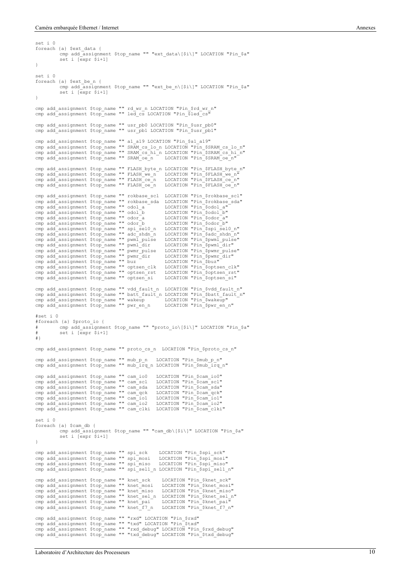set i 0

```
foreach {a} $ext_data {
              cmp add_assignment $top_name "" "ext_data\[$i\]" LOCATION "Pin_$a"
              set i [expr $i+1]
}
set i 0
foreach {a} $ext_be_n {
              cmp add_assignment $top_name "" "ext_be_n\[$i\]" LOCATION "Pin_$a"
              set i [expr $i+1]
}
cmp add assignment $top_name "" rd wr_n LOCATION "Pin $rd wr_n"
cmp add_assignment $top_name "" led_cs LOCATION "Pin_$led_cs"
cmp add_assignment $top_name "" usr_pb0 LOCATION "Pin_$usr_pb0"
cmp add_assignment $top_name "" usr_pb1 LOCATION "Pin_$usr_pb1"
cmp add_assignment $top_name "" a1_a19 LOCATION "Pin_$a1_a19"
cmp add_assignment $top_name "" SRAM_cs_lo_n LOCATION "Pin_$SRAM_cs_lo_n"
cmp add_assignment $top_name "" SRAM_cs_hi_n LOCATION "Pin_$SRAM_cs_hi_n"
cmp add_assignment $top_name "" SRAM_oe_n LOCATION "Pin_$SRAM_oe_n"
cmp add_assignment $top_name "" FLASH_byte_n LOCATION "Pin_$FLASH_byte_n"<br>cmp add_assignment $top_name "" FLASH_we_n LOCATION "Pin_$FLASH_we_n"<br>cmp add_assignment $top_name "" FLASH_ce_n LOCATION "Pin_$FLASH_ce_n"<br>cmp add 
cmp add_assignment $top_name "" rokbase_scl LOCATION "Pin_$rokbase_scl"<br>cmp add_assignment $top_name "" rokbase_sda LOCATION "Pin_$rokbase_sda"<br>cmp add_assignment $top_name "" odol_a           LOCATION "Pin_$odol_a"<br>cmp ad
cmp add_assignment $top_name "" odor_a LOCATION "Pin_$odor_a"
cmp add_assignment $top_name "" odor_b LOCATION "Pin_$odor_b"
cmp add_assignment $top_name "" spi_sel0_n LOCATION "Pin_$spi_sel0_n"<br>cmp add_assignment $top_name "" adc_shdn_n LOCATION "Pin_$adc_shdn_n"<br>cmp add_assignment $top_name "" pwml_pulse LOCATION "Pin_$pwml_pulse"
cmp add_assignment $top_name "" adc_shdn_n LOCATION "Pin_$adc_shdn_n"<br>cmp add_assignment $top_name "" pwml_pulse LOCATION "Pin_$pwml_pulse"<br>cmp add_assignment $top_name "" pwml_dir LOCATION "Pin_$pwml_dir"<br>cmp add_assignme
cmp add_assignment $top_name "" pwmr_dir LOCATION "Pin_$pwmr_dir"
cmp add_assignment $top_name "" buz LOCATION "Pin_$buz"
cmp add_assignment $top_name "" optsen_clk LOCATION "Pin_$optsen_clk"
cmp add_assignment $top_name "" optsen_rst LOCATION "Pin_$optsen_rst"
cmp add_assignment $top_name "" optsen_si LOCATION "Pin $optsen_si"
cmp add_assignment $top_name "" vdd_fault_n LOCATION "Pin_$vdd_fault_n"
cmp add_assignment $top_name "" batt_fault_n LOCATION "Pin_$batt_fault_n"
cmp add_assignment $top_name "" wakeup LOCATION "Pin_$wakeup"
cmp add_assignment $top_name "" pwr_en_n LOCATION "Pin_$pwr_en_n"
#est i \cap#foreach {a} $proto_io {
# cmp add_assignment $top_name "" "proto_io\[$i\]" LOCATION "Pin_$a"
# set i [expr $i+1]
#}
cmp add_assignment $top_name "" proto_cs_n LOCATION "Pin_$proto_cs_n"
cmp add_assignment $top_name "" mub_p_n LOCATION "Pin_$mub_p_n"
cmp add_assignment $top_name "" mub_irq_n LOCATION "Pin_$mub_irq_n"
cmp add_assignment $top_name "" cam_io0 LOCATION "Pin_$cam_io0"
cmp add_assignment $top_name "" cam_scl LOCATION "Pin_$cam_scl"
cmp add_assignment $top_name "" cam_scl LOCATION "Pin_$cam_scl"<br>cmp add_assignment $top_name "" cam_sda LOCATION "Pin_$cam_sda"<br>cmp add_assignment $top_name "" cam_qck LOCATION "Pin_$cam_qck"
cmp add_assignment $top_name "" cam_qck LOCATION "Pin_$cam_qck"<br>cmp add_assignment $top_name "" cam_io1 LOCATION "Pin_$cam_io1"
cmp add_assignment $top_name "" cam_io1 LOCATION "Pin_$cam_io1"
cmp add_assignment $top_name "" cam_io2 LOCATION "Pin_$cam_io2"
cmp add_assignment $top_name "" cam_clki LOCATION "Pin_$cam_clki"
set i 0
foreach {a} $cam_db {
              cmp add assignment $top name "" "cam db\[$i\]" LOCATION "Pin $a"
              set i [expr $i+1]
}
cmp add_assignment $top_name "" spi_sck LOCATION "Pin_$spi_sck"
cmp add_assignment $top_name "" spi_mosi LOCATION "Pin_$spi_mosi"
cmp add_assignment $top_name "" spi_miso LOCATION "Pin_$spi_miso"
cmp add_assignment $top_name "" spi_sel1_n LOCATION "Pin_$spi_sel1_n"
cmp add_assignment $top_name "" knet_sck LOCATION "Pin_$knet_sck"<br>cmp add assignment $top name "" knet_mosi LOCATION "Pin_$knet_mosi"
cmp add_assignment $top_name "" knet_mosi LOCATION "Pin_$knet_mosi"<br>cmp add_assignment $top_name "" knet_mosi LOCATION "Pin_$knet_mosi"
cmp add<sup>_</sup>assignment $top_name "" knet_miso
cmp add_assignment $top_name "" knet_sel_n LOCATION "Pin_$knet_sel_n"<br>cmp add_assignment $top_name "" knet_sel_n LOCATION "Pin_$knet_pai<sup>"</sup>
cmp add_assignment $top_name "" knet_pai LOCATION "Pin_$knet_pai"<br>cmp add_assignment $top_name "" knet_f7 n LOCATION "Pin_$knet_f7 n"
cmp add_assignment $top_name "" knet f7 n
cmp add_assignment $top_name "" "rxd" LOCATION "Pin_$rxd"
cmp add_assignment $top_name "" "txd" LOCATION "Pin_$txd"
cmp add_assignment $top_name "" "rxd_debug" LOCATION "Pin_$rxd_debug"
cmp add_assignment $top_name "" "txd_debug" LOCATION "Pin_$txd_debug"
```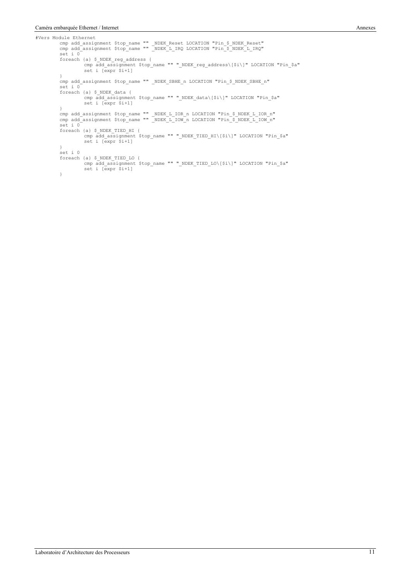#Vers Module Ethernet cmp add\_assignment \$top\_name "" \_NDEK\_Reset LOCATION "Pin\_\$\_NDEK\_Reset" cmp add\_assignment \$top\_name "" \_NDEK\_L\_IRQ LOCATION "Pin\_\$\_NDEK\_L\_IRQ" set i 0 foreach {a} \$\_NDEK\_reg\_address { cmp add\_assignment \$top\_name "" "\_NDEK\_reg\_address\[\$i\]" LOCATION "Pin\_\$a" set i [expr \$i+1] } cmp add\_assignment \$top\_name "" \_NDEK\_SBHE\_n LOCATION "Pin\_\$\_NDEK\_SBHE\_n" set i 0 foreach {a} \$\_NDEK\_data { cmp add\_assignment \$top\_name "" "\_NDEK\_data\[\$i\]" LOCATION "Pin\_\$a" set i [expr \$i+1] } cmp add\_assignment \$top\_name "" \_NDEK\_L\_IOR\_n LOCATION "Pin\_\$\_NDEK\_L\_IOR\_n"<br>cmp add\_assignment \$top\_name "" \_NDEK\_L\_IOW\_n LOCATION "Pin\_\$\_NDEK\_L\_IOW\_n" set i 0 foreach {a} \$\_NDEK\_TIED\_HI { cmp add\_assignment \$top\_name "" "\_NDEK\_TIED\_HI\[\$i\]" LOCATION "Pin\_\$a" set i [expr \$i+1] } set i 0 foreach {a} \$\_NDEK\_TIED\_LO { cmp add\_assignment \$top\_name "" "\_NDEK\_TIED\_LO\[\$i\]" LOCATION "Pin\_\$a" set i [expr \$i+1] }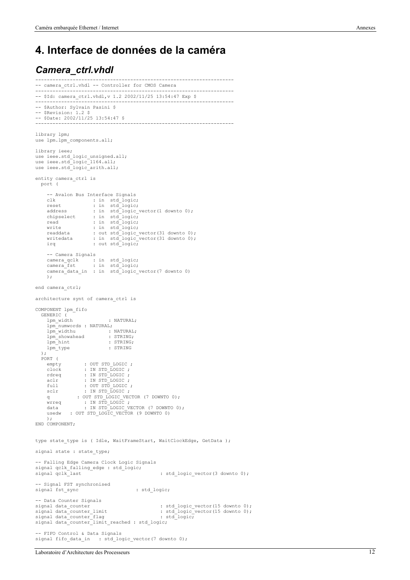#### **4. Interface de données de la caméra**

#### *Camera\_ctrl.vhdl*

```
---------------------------------------------------------------------
-- camera_ctrl.vhdl -- Controller for CMOS Camera
---------------------------------------------------------------------
-- $Id: camera_ctrl.vhdl,v 1.2 2002/11/25 13:54:47 Exp $
---------------------------------------------------------------------
-- $Author: Sylvain Pasini $
-- $Revision: 1.2 $
-- $Date: 2002/11/25 13:54:47 $
                                                ---------------------------------------------------------------------
library lpm;
use lpm.lpm_components.all;
library ieee;
use ieee.std logic unsigned.all;
use ieee.std_logic_1164.all;
use ieee.std_logic_arith.all;
entity camera_ctrl is
   port (
     -- Avalon Bus Interface Signals<br>clk : in std logic
               \therefore in std_logic;
reset : in std_logic;<br>
address : in std_logic_vector(1 downto 0);<br>
chipselect : in std_logic;<br>
read : in std_logic;<br>
write : in std_logic;<br>
readdata : out std_logic_vector(31 downto 0);<br>
writedata : in std_logic_vector(31 
      -- Camera Signals
 camera_qclk : in std_logic;
 camera_fst : in std_logic;
 camera_data_in : in std_logic_vector(7 downto 0)
 );
end camera_ctrl;
architecture synt of camera_ctrl is
COMPONENT lpm_fifo
   GENERIC (
      lpm_width : NATURAL;
      lpm_numwords : NATURAL;
 lpm_widthu : NATURAL;
 lpm_showahead : STRING;
     lpm_hint : STRING;<br>lpm_type : STRING
     1pm\_type );
    PORT (
empty : OUT STD_LOGIC ;<br>clock : IN STD_LOGIC ;<br>rdreq : IN STD_LOGIC ;
 aclr : IN STD_LOGIC ;
 full : OUT STD_LOGIC ;
 sclr : IN STD_LOGIC ;
 q : OUT STD_LOGIC_VECTOR (7 DOWNTO 0);
 wrreq : IN STD_LOGIC ;
 data : IN STD_LOGIC_VECTOR (7 DOWNTO 0);
      usedw : OUT STD_LOGIC_VECTOR (9 DOWNTO 0)
      );
END COMPONENT;
type state_type is ( Idle, WaitFrameStart, WaitClockEdge, GetData );
signal state : state type;
-- Falling Edge Camera Clock Logic Signals
signal qclk_falling_edge : std_logic;<br>signal qclk_last
                                                              : std logic vector(3 downto 0);
-- Signal FST synchronised
signal fst sync : std logic;
-- Data Counter Signals<br>signal data_counter
{\tt signal\ data\_counter} \hspace{2.5cm} : \hspace{2.5cm} \texttt{std\_logic\_vector(15\ downto 0)}\, ; \hspace{2.5cm} \texttt{signal\ data\_counter\_limit} \hspace{2.5cm} : \hspace{2.5cm} \texttt{std\_logic\_vector(15\ downto 0)}\, ; \hspace{2.5cm}: std\_logic\_vector(15 down to 0);signal data_counter_flag : std_logic;
signal data_counter_limit_reached : std_logic;
 -- FIFO Control & Data Signals
signal fifo_data_in : std_logic_vector(7 downto 0);
```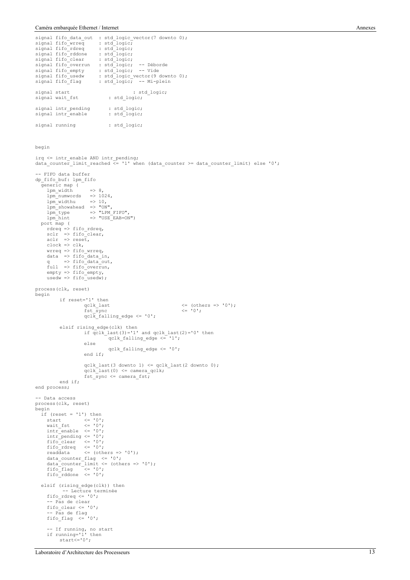signal running : std logic;

```
signal fifo_data_out : std_logic_vector(7 downto 0);
signal fifo_wrreq : std_logic;
signal fifo_rdreq : std_logic;
signal fifo_rddone : std_logic;<br>signal fifo_clear : std_logic;
signal fifo_clear
signal fifo_overrun : std_logic; -- Déborde
signal fifo_empty : std_logic; -- Vide
signal fifo_usedw : std_logic_vector(9 downto 0);
signal fifo_flag : std_logic; -- Mi-plein
signal start \begin{array}{r} \text{signal static} \\ \text{signal wait_fst} \end{array} : std_logic;
signal wait_fst
{\tt signal}\ \text{intr\_pending} \qquad \qquad \texttt{std\_logic;} \\ {\tt signal}\ \text{intr\_enable} \qquad \qquad \texttt{std\_logic;} \qquad \qquad \texttt{std\_logic;}signal intr_enable
```
begin

```
irq <= intr_enable AND intr_pending;
data_counter_limit_reached <= '1' when (data_counter >= data_counter_limit) else '0';
 -- FIFO data buffer
dp_fifo_buf: lpm_fifo
    generic map (
      \begin{array}{lll} \text{1pm width} & = > 8, \\ \text{1pm _ numbers} & = > 1024, \\ \text{1pm width} & = > 10, \end{array}1pm\_numwordslpmwidthu\begin{array}{lll} \texttt{lpm\_{}normal} & = & \texttt{--} \\ \texttt{lpm\_showahead} & = & \texttt{--} \\ \texttt{lpm\_type} & = & \texttt{--} \\ \texttt{lpm\_type} & = & \texttt{--} \\ \end{array}lpm_type => "LPM_FIFO",<br>lpm_hint => "USE_EAB=ON")
   lpm_hint<br>port map (
 rdreq => fifo_rdreq,
 sclr => fifo_clear,
 aclr => reset,
 clock => clk,
 wrreq => fifo_wrreq,
 data => fifo_data_in,
 q => fifo_data_out,
 full => fifo_overrun,
 empty => fifo_empty,
      usedw \Rightarrow fifo_usedw);
process(clk, reset)
begin
             if reset='1' then
                           qclk_last <br> \langle = (others => '0');<br> fst_sync \langle = '0';fst_sync <= '0';
qclk_falling_edge <= '0';
             elsif rising_edge(clk) then
                           if qclk_last(3)='1' and qclk_last(2)='0' then
                                        qclk falling edge \langle 1'1';else
                                        qclk_falling_edge <= '0';
                           end if;
                           qclk_last(3 downto 1) <= qclk_last(2 downto 0);
                           qclk\ last(0) <= camera_qclk;
                           fst<sub>sync</sub> \leq camera fst;
             end if;
end process;
-- Data access
process(clk, reset)
begin
    if (reset = '1') then
 start <= '0';
 wait_fst <= '0';
      intr\_enable \le 0'; intr_pending <= '0';
 fifo_clear <= '0';
 fifo_rdreq <= '0';
 readdata <= (others => '0');
 data_counter_flag <= '0';
 data_counter_limit <= (others => '0');
 fifo_flag <= '0';
      fito\_rddone \le 0'; elsif (rising_edge(clk)) then
              -- Lecture terminée
       fifo_rdreq <= '0';
      - Pas de clear<br>fifo clear \le '0';
 fifo_clear <= '0';
 -- Pas de flag
 fifo_flag <= '0';
 -- If running, no start
 if running='1' then
             start\leq='0';
```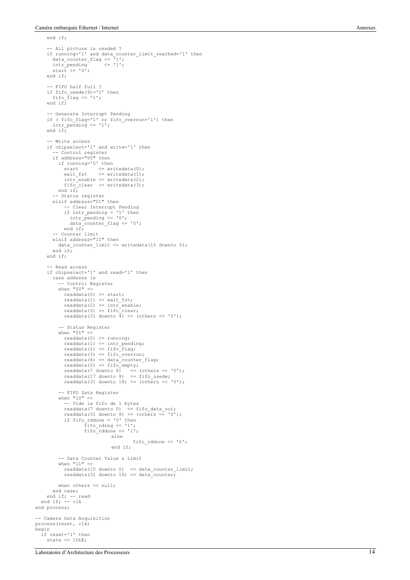$end if$ ;

```
 -- All picture is readed ?
 if running='1' and data_counter_limit_reached='1' then
 data_counter_flag <= '1';
 intr_pending <= '1';
 start <= '0';
      end if;
      -- FIFO half full ?
 if fifo_usedw(9)='1' then
 fifo_flag <= '1';
      end if;
       - Generate Interrupt Pending
 if ( fifo_flag='1' or fifo_overrun='1') then
 intr_pending <= '1';
     end if -- Write access
      if chipselect='1' and write='1' then
         -- Control register
 if address="00" then
 if running='0' then
 start <= writedata(0);
 wait_fst <= writedata(1);
 intr_enable <= writedata(2);
 fifo_clear <= writedata(3);
          end if;
 -- Status register
 elsif address="01" then
             -- Clear Interrupt Pending
 if intr_pending = '1' then
 intr_pending <= '0';
 data_counter_flag <= '0';
             end if;
          -- Counter limit
        elsif address="11" then
          data_counter_limit <= writedata(15 downto 0);
       end if end if;
      - Read access
      if chipselect='1' and read='1' then
        case address is
 -- Control Register
 when "00" =>
            readdata(0) \leq start; readdata(1) <= wait_fst;
 readdata(2) <= intr_enable;
            readdata(3) \leq fito<sup>[</sup>clear;
            readdata(31 downto \overline{4}) <= (others => '0');
           -- Status Register
          when "01" =>
             readdata(0) <= running;
             readdata(1) \leq intr\_pending; readdata(2) <= fifo_flag;
 readdata(3) <= fifo_overrun;
 readdata(4) <= data_counter_flag;
 readdata(5) <= fifo_empty;
 readdata(7 downto 6) <= (others => '0');
 readdata(17 downto 8) <= fifo_usedw;
            readdata(17 downto 0) \le 1110_docdwy<br>readdata(31 downto 18) \le (others => '0');
           -- FIFO Data Register
           when "10" =>
             -- Vide le fifo de 1 bytes
 readdata(7 downto 0) <= fifo_data_out;
 readdata(31 downto 8) <= (others => '0');
            if fifo rddone = '0' then
                     fifo~rdreq \le '1';
                     \text{fifo\_rddone} \leq 1';
                                  else
                                           fifo rddone \leq '0';
                                  end if;
           -- Data Counter Value & Limit
          when "11" =>
             readdata(15 downto 0) <= data_counter_limit;
            readdata(31 downto 16) <= data_counter;
         when others => null;
        end case;
 end if; -- read
 end if; -- clk
end process;
-- Camera Data Acquisition
process(reset, clk)
begin
   if reset='1' then
     state <= IDLE;
```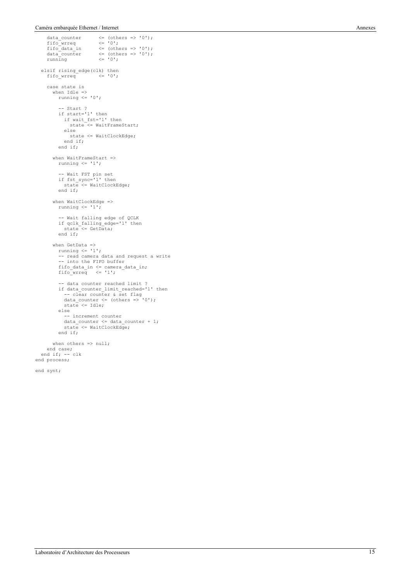```
data_counter \langle = \text{(others => '0');<br>fifo wrreq \langle = \text{'0'};data_counter<br>fifo_wrreq<br>fifo_data_in
 fifo_data_in <= (others => '0');
 data_counter <= (others => '0');
 running <= '0';
elsif rising_edge(clk) then<br>fifo wrreq <= '0';
      case state is
 when Idle =>
 running <= '0';
            -- Start ?
 if start='1' then
 if wait_fst='1' then
                state <= WaitFrameStart;
               else
                state <= WaitClockEdge;
              end if;
            end if;
 when WaitFrameStart =>
 running <= '1';
            -- Wait FST pin set
          if fst sync='1' then
             state <= WaitClockEdge;
            end if;
        when WaitClockEdge =>
          running \leq '1';
 -- Wait falling edge of QCLK
 if qclk_falling_edge='1' then
             state \lt = GetData;
            end if;
when GetData =><br>
running <= '1';
 -- read camera data and request a write
 -- into the FIFO buffer
 fifo_data_in <= camera_data_in;
 fifo_wrreq <= '1';
 -- data counter reached limit ?
 if data_counter_limit_reached='1' then
 -- clear counter & set flag
 data_counter <= (others => '0');
               state <= Idle;
 else
 -- increment counter
 data_counter <= data_counter + 1;
 state <= WaitClockEdge;
            end if;
        when others => null;
 end case;
 end if; -- clk
end process;
```

```
end synt;
```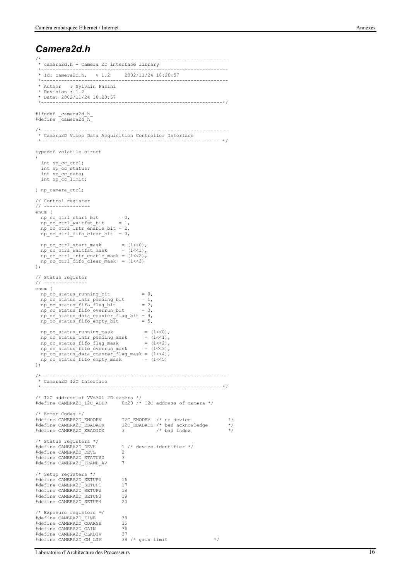#### *Camera2d.h*

```
 * camera2d.h - Camera 2D interface library
                           *-----------------------------------------------------------------
  * Id: camera2d.h, v 1.2 2002/11/24 18:20:57
                            *-----------------------------------------------------------------
  * Author : Sylvain Pasini
  * Revision : 1.2
   * Date: 2002/11/24 18:20:57
                                                 *---------------------------------------------------------------*/
#ifndef _camera2d_h_
#define _camera2d_h_
/*-----------------------------------------------------------------
 * Camera2D Video Data Acquisition Controller Interface
  *---------------------------------------------------------------*/
typedef volatile struct
{
    int np_cc_ctrl;
 int np_cc_status;
 int np_cc_data;
   int np_cc_limit;
} np_camera_ctrl;
// Control register
// ----------------
enum {
np_cc_ctrl_start_bit = 0,<br>
np cc ctrl waitfst bit = 1,
 np_cc_ctrl_intr_enable_bit = 2,
 np_cc_ctrl_fifo_clear_bit = 3,
 np_cc_ctrl_start_mask = (1<<0),
 np_cc_ctrl_waitfst_mask = (1<<1),
 np_cc_ctrl_intr_enable_mask = (1<<2),
 np_cc_ctrl_fifo_clear_mask = (1<<3)
};
// Status register
// ---------------
enum {
   \begin{array}{lll} \mbox{np\_cc\_status\_running bit} & = & 0, \\ \mbox{np\_cc\_status\_intr\_pending\_bit} & = & 1, \\ \mbox{np\_cc\_status\_fit0\_flag\_bit} & = & 2, \\ \end{array}n\bar{p} cc status intr pending bit
   npc<sub>status</sub>fifoflag_bit
np_cc_status_fifo_overrun_bit = 3,<br>
np_cc_status_data_counter_flag_bit = 4,<br>
np cc_status_fifo_empty_bit = 5,
   np_cc_status_running_mask = (1<0),<br>np_cc_status_intr_pending_mask = (1<0),<br>np_cc_status_fifo_flag_mask = (1<0),<br>np_cc_status_fifo_flag_mask = (1<0),
 np_cc_status_intr_pending_mask = (1<<1),
 np_cc_status_fifo_flag_mask = (1<<2),
 np_cc_status_fifo_overrun_mask = (1<<3),
 np_cc_status_data_counter_flag_mask = (1<<4),
   np_cc_status_fifo_empty_mask = (1\leq\leq5)};
/*-----------------------------------------------------------------
  * Camera2D I2C Interface
 *---------------------------------------------------------------*/
/* I2C address of VV6301 2D camera */
#define CAMERA2D_I2C_ADDR 0x20 /* I2C address of camera */
/* Error Codes */
#define CAMERA2D_ENODEV I2C_ENODEV /* no device */
#define CAMERA2D_EBADACK I2C_EBADACK /* bad acknowledge */
#define CAMERA2D_EBADIDX 3 /* bad index */
/* Status registers */
                                              1 /* device identifier */<br>2
#define CAMERA2D_DEVL 2<br>#define CAMERA2D_STATUS0 3
#define CAMERA2D_STATUS0 3<br>#define CAMERA2D_FRAME AV 7
#define CAMERA2D_FRAME_AV 7
/* Setup registers */
#define CAMERA2D_SETUP0 16
#define CAMERA2D_SETUP1 17
#define CAMERA2D_SETUP2 18<br>#define CAMERA2D_SETUP3 19
#define CAMERA2D_SETUP3 19
#define CAMERA2D_SETUP4 20
/* Exposure registers */
% #define CAMERA2D_FINE 33<br>#define CAMERA2D_COARSE 35
#define CAMERA2D_COARSE 35
#define CAMERA2D_GAIN 36<br>#define CAMERA2D_CLKDIV 37
#define CAMERA2D_CLKDIV 37<br>#define CAMERA2D_GN LIM 38 /* gain limit
#define CAMERA2D_GN_LIM 38 /* gain limit */
```
/\*-----------------------------------------------------------------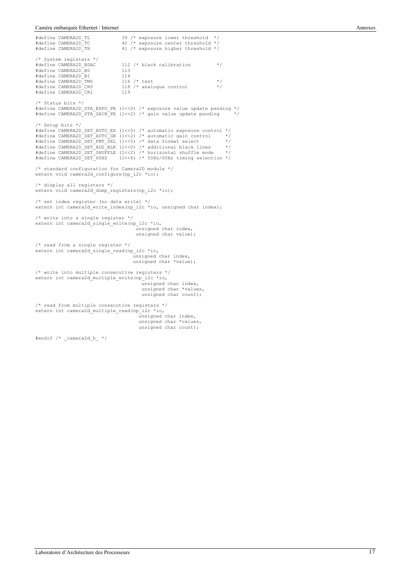```
#define CAMERA2D_TL 39 /* exposure lower threshold */
#define CAMERA2D_TC \frac{40}{x} exposure center threshold */<br>#define CAMERA2D_TC \frac{40}{x} exposure center threshold */
                                        41 /* exposure higher threshold */
/* System registers */
                                        112 /* black calibration */<br>113
#define CAMERA2D_B0 113<br>#define CAMERA2D_B1 114
#define CAMERA2D_B1 114
#define CAMERA2D_TMS 116 /* test */
% WORD WAREN WIRE CAMERA2D_CR0 118 /* analogue control */<br>#define CAMERA2D_CR0 119 119
#define CAMERA2D_CR1
/* Status bits */
#define CAMERA2D_STA_EXPO_PE (1<<0) /* exposure value update pending */
#define CAMERA2D_STA_GAIN_PE (1<<2) /* gain value update pending */
/* Setup bits */
#define CAMERA2D_SET_AUTO_EX (1<<0) /* automatic exposure control */
#define CAMERA2D_SET_AUTO_GN (1<<2) /* automatic gain control */
#define CAMERA2D_SET_FMT_SEL (1<<5) /* data format select */
#define CAMERA2D_SET_ADD_BLK (1<<0) /* additional black lines */
#define CAMERA2D_SET_SHUFFLE (1<<2) /* horizontal shuffle mode */
#define CAMERA2D_SET_60HZ (1<<6) /* 50Hz/60Hz timing selection */
/* standard configuration for Camera2D module */
extern void camera2d_configure(np_i2c *io);
/* display all registers */
extern void camera2d_dump_registers(np_i2c *io);
/* set index register (no data write) */
extern int camera2d_write_index(np_i2c *io, unsigned char index);
/* write into a single register */
extern int camera2d_single_write(np_i2c *io,
                                                 unsigned char index,
                                                 unsigned char value);
/* read from a single register */extern int camera2d_single_read(np_i2c *io,
                                               unsigned char index,
unsigned char *value);
/* write into multiple consecutive registers */
extern int camera2d_multiple_write(np_i2c *io,
                                                unsigned char index,
 unsigned char *values,
                                                  unsigned char count);
/* read from multiple consecutive registers */
extern int camera2d_multiple_read(np_i2c *io,
                                                 unsigned char index,
                                                  unsigned char *values,
                                                  unsigned char count);
#endif /* _camera2d_h_ */
```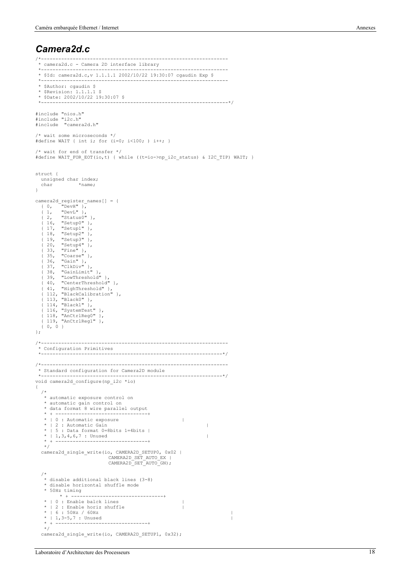#### *Camera2d.c*

```
/*-----------------------------------------------------------------
 * camera2d.c - Camera 2D interface library
 *-----------------------------------------------------------------
 * $Id: camera2d.c,v 1.1.1.1 2002/10/22 19:30:07 cgaudin Exp $
 *-----------------------------------------------------------------
  * $Author: cgaudin $
  * $Revision: 1.1.1.1 $
  * $Date: 2002/10/22 19:30:07 $
                                           *-----------------------------------------------------------------*/
#include "nios.h"
#include "i2c.h"
#include "camera2d.h"
/* wait some microseconds */
#define WAIT { int i; for (i=0; i<100; ) i++; }
/* wait for end of transfer */
#define WAIT_FOR_EOT(io,t) { while ((t=io->np_i2c_status) & I2C_TIP) WAIT; }
struct {
  unsigned char index;<br>char *name;
                   *name:
}
camera2d register names[] = {
 { 0, "DevH" },
 { 1, "DevL" },
   { 2, "Status0" },
 { 16, "Setup0" },
 { 17, "Setup1" },
 { 18, "Setup2" },
 { 19, "Setup3" },
 { 20, "Setup4" },
 { 33, "Fine" },
 { 35, "Coarse" },
    35, coarse f,<br>36, "Gain" },<br>37, "ClkDiv" },
{ 38, "GainLimit" },<br>
{ 39, "LowThreshold" },<br>
{ 40, "CenterThreshold" },<br>
{ 41, "HighThreshold" },<br>
{ 112, "BlackCalibration" },<br>
{ 113, "Black0" },<br>
{ 114, "Black1" },
 { 116, "SystemTest" },
 { 118, "AnCtrlReg0" },
   { 119, "AnCtrlReg1" },
    {0, 0}};
/*-----------------------------------------------------------------
  * Configuration Primitives
                                                        /*-----------------------------------------------------------------
  * Standard configuration for Camera2D module
                                                               *---------------------------------------------------------------*/
void camera2d configure(np_i2c *io)
{
   /*
    * automatic exposure control on
    * automatic gain control on
    * data format 8 wire parallel output
                                    * + --------------------------------+
    * | 0 : Automatic exposure |
   * | 2 : Automatic Gain |
    * | 5 : Data format 0=8bits 1=4bits |
     \vert 1,3,4,6,7 : Unused \vert * + --------------------------------+
    */
   camera2d_single_write(io, CAMERA2D_SETUP0, 0x02 |
 CAMERA2D_SET_AUTO_EX |
 CAMERA2D_SET_AUTO_GN);
 /*
    * disable additional black lines (3-8)
    * disable horizontal shuffle mode
    * 50Hz timing
          * + --------------------------------+
    * | 0 : Enable balck lines |
 * | 2 : Enable horiz shuffle |
 * | 6 : 50Hz / 60Hz |
   * | 1,3-5,7 : Unused
                  * + --------------------------------+
    */
  camera2d single write(io, CAMERA2D SETUP1, 0x32);
```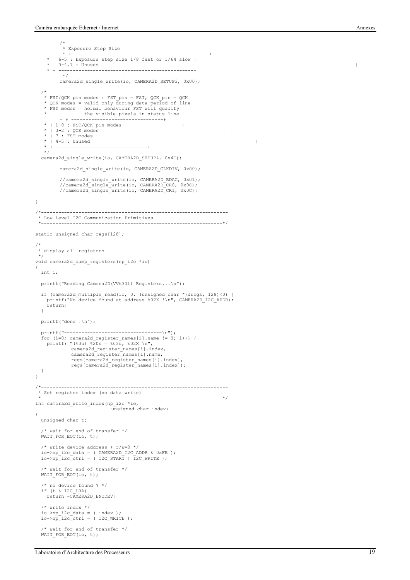/\* \* Exposure Step Size \* + -----------------------------------------------+ \* | 6-5 : Exposure step size 1/8 fast or 1/64 slow | \* | 0-4,7 : Unused | \* + ---------------- \*/ camera2d single write(io, CAMERA2D SETUP3, 0x00); /\* \* FST/QCK pin modes : FST\_pin = FST, QCK\_pin = QCK \* QCK modes = valid only during data period of line \* FST modes = normal behaviour FST will qualify \* the visible pixels in status line \* + --------------------------------+  $*$  | 1-0 : FST/QCK pin modes |<br> $*$  | 3-2 : OCK modes \* | 3-2 : QCK modes | \* | 7 : FST modes | \* | 4-5 : Unused | \* + --------------------------------+ \*/ camera2d\_single\_write(io, CAMERA2D\_SETUP4, 0x4C); camera2d\_single\_write(io, CAMERA2D\_CLKDIV, 0x00); //camera2d\_single\_write(io, CAMERA2D\_BDAC, 0x01); //camera2d\_single\_write(io, CAMERA2D\_CR0, 0x0C); //camera2d\_single\_write(io, CAMERA2D\_CR1, 0x0C); } /\*----------------------------------------------------------------- \* Low-Level I2C Communication Primitives \*---------------------------------------------------------------\*/ static unsigned char regs[128]; /\* \* display all registers \*/ void camera2d dump registers(np\_i2c \*io) { int i; printf("Reading Camera2D(VV6301) Registers...\n"); if (camera2d multiple read(io, 0, (unsigned char \*) & regs,  $128$ )<0) { printf("No device found at address %02X !\n", CAMERA2D I2C ADDR); return; } printf("done !\n"); printf("----------------------------------\n"); for (i=0; camera2d\_register\_names[i].name != 0; i++) { printf( "(%3u) %20s = %03u, %02X \n", camera2d\_register\_names[i].index, camera2d\_register\_names[i].name, regs[camera2d\_register\_names[i].index], regs[camera2d\_register\_names[i].index]); } } /\*----------------------------------------------------------------- \* Set register index (no data write) \*---------------------------------------------------------------\*/ int camera2d write index(np\_i2c \*io, unsigned char index) { unsigned char t; /\* wait for end of transfer \*/ WAIT\_FOR\_EOT(io, t); /\* write device address +  $r/w=0$  \*/ io->np\_i2c\_data = ( CAMERA2D\_I2C\_ADDR & 0xFE ); io->np\_i2c\_ctrl = ( I2C\_START | I2C\_WRITE ); /\* wait for end of transfer \*/ WAIT\_FOR\_EOT(io, t); /\* no device found ? \*/ if (t & I2C\_LRA) return -CAMERA2D\_ENODEV; /\* write index \*/ io->np\_i2c\_data = ( index ); io->np\_i2c\_ctrl = ( I2C\_WRITE ); /\* wait for end of transfer \*/ WAIT\_FOR\_EOT(io, t);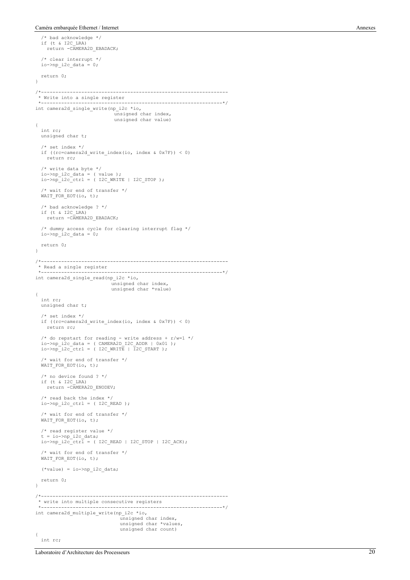```
 /* bad acknowledge */
 if (t & I2C_LRA)
     return -CAMERA2D EBADACK;
   /* clear interrupt */
  io->np_i2c_data = 0; return 0;
}
/*-----------------------------------------------------------------
  * Write into a single register
                                               *---------------------------------------------------------------*/
int camera2d_single_write(np_i2c *io,
                                   unsigned char index,
                                     unsigned char value)
{
   int rc;
   unsigned char t;
   /* set index */ if ((rc=camera2d_write_index(io, index & 0x7F)) < 0)
      return rc;
 /* write data byte */
 io->np_i2c_data = ( value );
 io->np_i2c_ctrl = ( I2C_WRITE | I2C_STOP );
   /* wait for end of transfer */
   WAIT_FOR_EOT(io, t);
    /* bad acknowledge ? */
   if (t & I2C_LRA)
      return -CAMERA2D_EBADACK;
  \prime\star dummy access cycle for clearing interrupt flag */
  \lim_{x \to 0} \frac{1}{2c} \cdot \frac{1}{\text{data}} = 0; return 0;
}
/*-----------------------------------------------------------------
  * Read a single register
                                                                   *---------------------------------------------------------------*/
int camera2d_single_read(np_i2c *io,
                                   unsigned char index,
 unsigned char *value)
{
   int rc;
   unsigned char t;
   /* set index */
   if ((rc=camera2d_write_index(io, index & 0x7F)) < 0)
      return rc;
 /* do repstart for reading - write address + r/w=1 */
 io->np_i2c_data = ( CAMERA2D_I2C_ADDR | 0x01 );
 io->np_i2c_ctrl = ( I2C_WRITE | I2C_START );
    /* wait for end of transfer */
  WAIT_FOR_EOT(io, t);
 /* no device found ? */
 if (t & I2C_LRA)
     return -CAMERA2D ENODEV;
    /* read back the index */
  io->np_i2c_ctr1 = ( 12C_READ );
   /* wait for end of transfer */
  WAIT FOR EOT(io, t);
   /* read register value */
  t = io->np_1^2c_data;io->np i2c<sup>-c</sup>trl = ( I2C READ | I2C STOP | I2C ACK);
 /* wait for end of transfer */
 WAIT_FOR_EOT(io, t);
  (*value) = io->np i2c data;
   return 0;
}
                                                                /*-----------------------------------------------------------------
  * write into multiple consecutive registers
                                                  *---------------------------------------------------------------*/
int camera2d_multiple_write(np_i2c *io,
                                       unsigned char index,
                                        unsigned char *values,
                                        unsigned char count)
{
   int rc;
```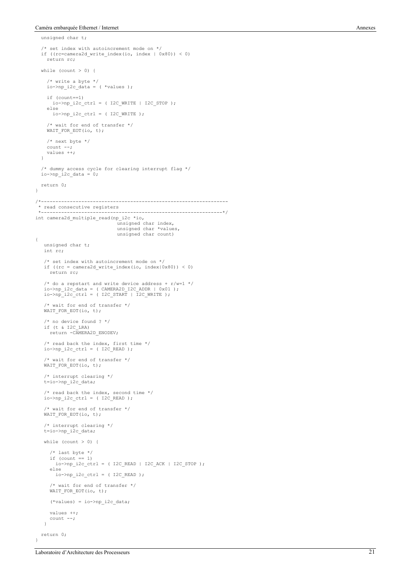unsigned char t;

```
 /* set index with autoincrement mode on */
   if ((rc=camera2d_write_index(io, index | 0x80)) < 0)
     return rc;
  while \text{(count } > 0) {
     /* write a byte */
    \text{io-}>np_i2c_data = ( *values );
     if (count==1)
      io->np_i2c_ctr1 = ( 12c_wRITE | 12c_sTOP );
     else
      io->np i2c ctrl = ( I2C WRITE );
 /* wait for end of transfer */
 WAIT_FOR_EOT(io, t);
     /* next byte */
    count --; values ++;
   }
 /* dummy access cycle for clearing interrupt flag */
 io->np_i2c_data = 0;
   return 0;
}
/*-----------------------------------------------------------------
  * read consecutive registers
                                                           *---------------------------------------------------------------*/
int camera2d_multiple_read(np_i2c *io,
                                    unsigned char index,
                                    unsigned char *values,
                                    unsigned char count)
{
    unsigned char t;
    int rc;
    /* set index with autoincrement mode on */
    if ((rc = camera2d_write_index(io, index|0x80)) < 0)
      return rc;
 /* do a repstart and write device address + r/w=1 */
 io->np_i2c_data = ( CAMERA2D_I2C_ADDR | 0x01 );
 io->np_i2c_ctrl = ( I2C_START | I2C_WRITE );
    /* wait for end of transfer */
    WAIT_FOR_EOT(io, t);
 /* no device found ? */
 if (t & I2C_LRA)
     return -CAMERA2D ENODEV;
   /* read back the index, first time */
   io->np_i2c_ctr1 = ( 12C_READ );
     /* wait for end of transfer */
   WAIT_FOR_EOT(io, t);
    /* interrupt clearing */
    t=io->np_i2c_data;
 /* read back the index, second time */
 io->np_i2c_ctrl = ( I2C_READ );
 /* wait for end of transfer */
 WAIT_FOR_EOT(io, t);
 /* interrupt clearing */
 t=io->np_i2c_data;
   while (count > 0) {
 /* last byte */
 if (count == 1)
        io->np_12c_ctri = ( IC\_READ | IC\_ACK | IC\_STOP );
       else
        io->np_i2c_ctri = ( 12C_READ );
       /* wait for end of transfer */
     WAIT FOR EOT(io, t);
      (*values) = io->np_i2c_data;
      values ++;
      count --;
   \mathbf{I} return 0;
```
}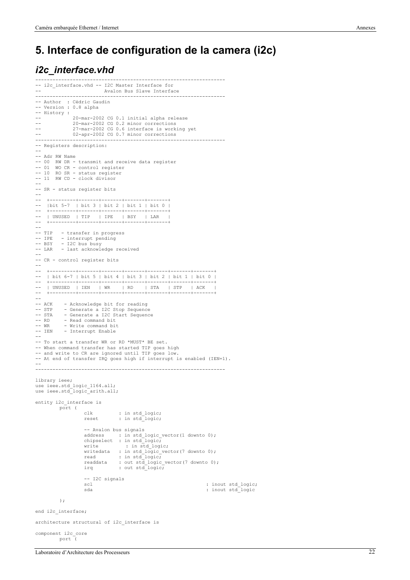### **5. Interface de configuration de la camera (i2c)**

#### *i2c\_interface.vhd*

```
------------------------------------------------------------------
-- i2c interface.vhd -- I2C Master Interface for
                            Avalon Bus Slave Interface
------------------------------------------------------------------
-- Author : Cédric Gaudin
-- Version : 0.8 alpha
-- History :
-- <sup>1</sup> 20-mar-2002 CG 0.1 initial alpha release<br>-- 20-mar-2002 CG 0.2 minor corrections
-- 20-mar-2002 CG 0.2 minor corrections
-- 27-mar-2002 CG 0.6 interface is working yet
-- 02-apr-2002 CG 0.7 minor corrections
------------------------------------------------------------------
-- Registers description:
--
-- Adr RW Name
-- 00 RW DR - transmit and receive data register
-- 01 WO CR - control register
-- 10 RO SR - status register
-- 11 RW CD - clock divisor
--
-- SR - status register bits
--
-- +---------+-------+-------+-------+-------+
    -- |bit 5-7 | bit 3 | bit 2 | bit 1 | bit 0 |
-- +---------+-------+-------+-------+-------+
-- | UNUSED | TIP | IPE | BSY | LAR |
-- +---------+-------+-------+-------+-------+
--<br>-- TTP
          - transfer in progress
-- IPE - interrupt pending
-- BSY - I2C bus busy
-- LAR - last acknowledge received
--
-- CR - control register bits
--
-- +---------+-------+-------+-------+-------+-------+-------+
-- | bit 6-7 | bit 5 | bit 4 | bit 3 | bit 2 | bit 1 | bit 0 |
-- +---------+-------+-------+-------+-------+-------+-------+
-- | UNUSED | IEN | WR | RD | STA | STP | ACK |
-- +---------+-------+-------+-------+-------+-------+-------+
--<br>-- ACK
-- ACK - Acknowledge bit for reading
-- STP - Generate a I2C Stop Sequence
-- STA - Generate a I2C Start Sequence
-- RD - Read command bit
-- WR - Write command bit
-- IEN - Interrupt Enable
--- To start a transfer WR or RD *MUST* BE set.
-- When command transfer has started TIP goes high
-- and write to CR are ignored until TIP goes low.
-- At end of transfer IRQ goes high if interrupt is enabled (IEN=1).
--
------------------------------------------------------------------
library ieee;
use ieee.std_logic_1164.all;
use ieee.std_logic_arith.all;
entity i2c_interface is
         port (
                      clk : in std_logic;
reset : in std_logic;
                     -- Avalon bus signals
                      address : in std_logic_vector(1 downto 0);<br>chipselect : in std logic;
                      write : in std_logic;
writedata : in std_logic_vector(7 downto 0);
                      read : in std_logic;
readdata : out std_logic_vector(7 downto 0);
irq : out std_logic;
                     -- I2C signals
                                                                           : inout std logic;
                     sda : inout std_logic
          );
end i2c interface;
architecture structural of i2c_interface is
```
component i2c\_core port (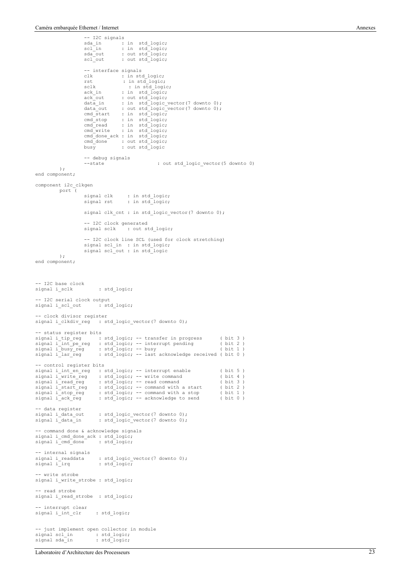```
-- I2C signals
                         sda_in : in std_logic;
scl_in : in std_logic;
                         sda_out : out std_logic;
scl_out : out std_logic;
                        -- interface signals
                         clk : in std_logic;
rst : in std_logic;
                        sclk : in std_logic;<br>ack_in : in std_logic;
                         ack_in : in std_logic;<br>ack_out : out std_logic,<br>data_in : in std_logic_vector(7 downto 0);<br>data_out : out std_logic_vector(7 downto 0);
                        cmd_start : in std_logic;<br>cmd_stop : in std_logic;
                        cmd_stop : in std_logic;<br>cmd_read : in std_logic;
                        cmd_read : in std_logic;<br>cmd_write : in std_logic;
                                          cmd_updic;
                        cmd_done_ack : in std_logic;
                         cmd_done : out std_logic;
                         busy : out std_logic
                        -- debug signals<br>--state
                                                           : out std logic vector(5 downto 0)
           );
end component;
component i2c_clkgen
          port (
                         signal clk : in std_logic;
signal rst : in std_logic;
                        signal clk_cnt : in std_logic_vector(7 downto 0);
                        -- I2C clock generated<br>signal sclk : out s
                                            : out std logic;
                        -- I2C clock line SCL (used for clock stretching)
                        signal scl_in : in std_logic;
                        signal scl_out : in std_logic
           \rightarrowend component;
-- I2C base clock
signal i_sclk : std_logic;
  -- I2C serial clock output
signal i_scl_out : std_logic;
-- clock divisor register
signal i_clkdiv_reg : std_logic_vector(7 downto 0);
  -- status register bits
signal i_tip_reg : std_logic; -- transfer in progress ( bit 3 )
signal i_int_pe_reg : std_logic; -- interrupt pending ( bit 2 )
signal i_busy_reg : std_logic; -- busy ( bit 1 )
signal i_lar_reg : std_logic; -- last acknowledge received ( bit 0 )
-- control register bits
signal i_int_en_reg : std_logic; -- interrupt enable ( bit 5 )<br>signal i_write_reg : std_logic; -- write command ( bit 4 )<br>signal i_read reg : std_logic; -- read command ( bit 3 )
signal i_start_reg : std_logic; -- command with a start ( bit 2 )<br>signal i_stop_reg : std_logic; -- command with a stop ( bit 1 )<br>signal i_ack_reg : std_logic; -- acknowledge to send ( bit 0 )
-- data register<br>signal i_data_out<br>signal i_data_in
signal i data out : std logic vector(7 downto 0);
signal i data in : std logic vector(7 downto 0);
-- command done & acknowledge signals
signal i_cmd_done_ack : std_logic;<br>signal i cmd done : std logic;
signal i_cmd_done
-- internal signals
signal i_readdata : std_logic_vector(7 downto 0);<br>signal i_irq : std_logic;
                              : std_logic;
-- write strobe
signal i write strobe : std logic;
 -- read strobe
signal i_read_strobe : std_logic;
-- interrupt clear
signal i_int_clr : std_logic;
-- just implement open collector in module<br>signal scl_in : std_logic;
signal scl_in : std_logic;
signal sda_in : std_logic;
```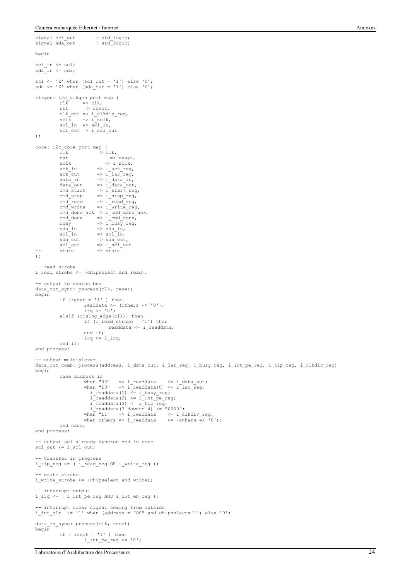signal scl\_out : std\_logic; signal sda\_out : std\_logic;

```
begin
scl_in <= scl;
sda_in \leq sda;
scl \leq 'Z' when (scl out = '1') else '0';
sda \le 'Z' when (sda_out = '1') else '0';
clkgen: i2c_clkgen port map (<br>clk => clk,
           clk \Rightarrow clk,<br>rst \Rightarrow rese
                      \Rightarrow reset,
           clk\_cnt => i<sup>-c</sup>lkdiv_reg,
            sclk => i_sclk,
scl_in => scl_in,
scl_out => i_scl_out
);
core: i2c_core port map (
           \overline{c}lk => clk,<br>rst =>
           rst \Rightarrow reset,<br>sclk \Rightarrow i sclk.
           rst<br>sclk => i_sclk,<br>ack_in => i_ack_reg,
            ack_in => i_ack_reg,<br>
ack_out => i_lar_reg,<br>
data_in => i_data_in,<br>
data_out => i_data_out,
           cmd_sstart => i_sstart_reg,cmd_stop => i_stop_reg, 
cmd_read => i_read_reg,
           cmd write \Rightarrow i_write reg,
           cmd\_done\_ack \Rightarrow i\_cmd\_done\_ack,cmd_done => i_cmd_done,<br>busy => i_busy_reg,
sda_in => sda_in,<br>
scl_in => scl_in,<br>
sda_out => i_sd_out,<br>
scl_out => i_scl_out<br>
-- state => state
);

-- read strobe
i read strobe \leq (chipselect and read);
-- output to avalon bus
data_out_sync: process(clk, reset)
begin
           if (reset = '1') then
                       readdata \leq (others \Rightarrow '0');
                       irq\leftarrow'0';
           elsif (rising_edge(clk)) then
                        if (i_read_strobe = '1') then<br>readdata <= i readdata;
                       end if;
                       irq <= i_irq;
           end if;
end process;
 -- output multiplexer
data_out_comb: process(address, i_data_out, i_lar_reg, i_busy_reg, i_int_pe_reg, i_tip_reg, i_clkdiv_reg)
begin
           case address is
when "00" => i_readdata <= i_data_out;<br>when "10" => i_readdata(0) <= i_lar_reg;<br>i_readdata(1) <= i_busy_reg;
 i_readdata(2) <= i_int_pe_reg;
 i_readdata(3) <= i_tip_reg;
 i_readdata(7 downto 4) <= "0000";
when "11" => i_readdata <= i_clkdiv_reg;
                        when others \Rightarrow i readdata \leq (others \Rightarrow '0');
           end case;
end process;
-- output scl already syncronized in core
scl\_out \leq i\_scl\_out;-- transfer in progress
i_tip_reg <= ( i_read_reg OR i_write_reg );
-- write strobe<br>i write strobe <= (chipselect and write);
-- interrupt output
i_irq <= ( i_int_pe_reg AND i_int_en_reg );
-- interrupt clear signal coming from outside<br>i int clr <= '1' when (address = "00" and chipselect='1') else '0';
data_in_sync: process(clk, reset)
begin
           if ( reset = '1' ) then
                       i_int_pe_reg <= '0';
```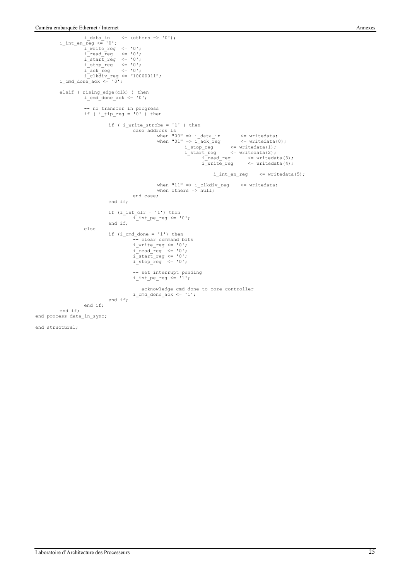```
i_data_in <= (others => '0');<br>i_int_en_reg <= '0';<br>i_write_reg <= '0';
                           i_read_reg <= '0';
i_start_reg <= '0';
i\_stop\_reg \langle = '0';<br>
i\_ack\_reg \langle = '0';<br>
i\_clkdiv\_reg \langle = "10000011";<br>
i\_cmd doneack \langle = '0';elsif ( rising_edge(clk) ) then
 i_cmd_done_ack <= '0';
             -- no transfer in progress
 if ( i_tip_reg = '0' ) then
if ( i_write_strobe = '1' ) then<br>case address is<br>when "00" => i_data_in <= writedata;<br>when "01" => i_ack_reg <= writedata(0);
                                                      i_stop_reg <= writedata(1);
 i_start_reg <= writedata(2);
 i_read_reg <= writedata(3);
                                                                                         i_read_reg <= writedata(3);<br>i_write_reg <= writedata(4);
                                                                                               i int en reg \leq writedata(5);
                                                                 when "11" => i clkdiv reg \leq writedata;
                                                                 when others =>\sqrt{null};
                                                   end case;
                                       end if;
                                       if (i_int_clr = '1') then
                                                    i<sub>_int_pe_reg <= '0';</sub>
                                       end if;
                          else
                                       if (i\_cmd\_done = '1') then- clear command bits
                                                     i_write_reg <= '0';
i_read_reg <= '0';
i_start_reg <= '0';
i_stop_reg <= '0';
                                                     -- set interrupt pending<br>i int pe reg <= '1';
                                                     -- acknowledge cmd done to core controller<br>i cmd done ack <= '1';
                                      end if;
                          end if;
            end if;
end process data_in_sync;
end structural;
```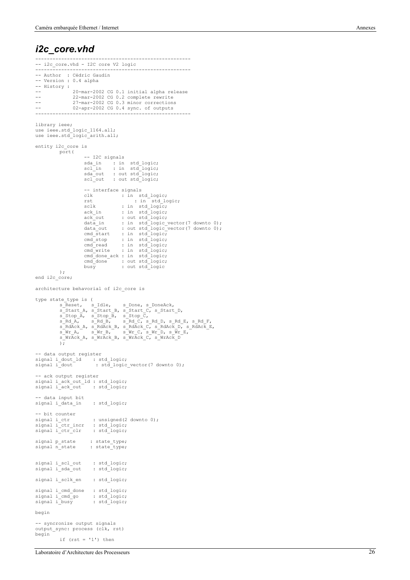#### *i2c\_core.vhd*

```
------------------------------------------------------
-- i2c_core.vhd - I2C core V2 logic
------------------------------------------------------
-- Author : Cédric Gaudin
-- Version : 0.4 alpha
-- History :
-- 20-mar-2002 CG 0.1 initial alpha release<br>-- 22-mar-2002 CG 0.2 complete rewrite
22 mar-2002 CG 0.2 complete rewrite<br>-- 22-mar-2002 CG 0.3 minor corrections
                  27-mar-2002 CG 0.3 minor corrections
                  02-apr-2002 CG 0.4 sync. of outputs
------------------------------------------------------
library ieee;
use ieee.std logic_1164.all;
use ieee.std_logic_arith.all;
entity i2c_core is
           port(
                         -- I2C signals
                          sda_in : in std_logic;
scl_in : in std_logic;
sda_out : out std_logic;
scl_out : out std_logic;
                         -- interface signals<br>clk : in s
                          clk : in std_logic;
rst : in std_logic;
                         sclk : in std_logic;<br>ack in : in std_logic;
                          ack_in : in std_logic;
ack_out : out std_logic;
data_in : in std_logic_vector(7 downto 0);
                         data_out : out std_logic_vector(7 downto 0);
                         cmd_start : in std_logic;<br>cmd_stop : in std_logic;
                         cmd_stop : in std_logic;<br>cmd_read : in std_logic;
                                            : in std_logic;
                          cmd_write : in std_logic;
cmd_done_ack : in std_logic;
cmd_done : out std_logic;
busy : out std_logic
            );
end i2c_core;
architecture behavorial of i2c_core is
type state_type is (<br>s_Reset, s_Idle,
             s_Reset, s_Idle, s_Done, s_DoneAck,<br>s_Start_A, s_Start_B, s_Start_C, s_Start_D,<br>s_Stop_A, s_Stop_B, s_Stop_C,<br>s_Rd_A, s_Rd_B, s_Rd_C, s_Rd_D, s_Rd_E, s_Rd_F,<br>s_RdAck_A, s_RdAck_B, s_RdAck_C, s_RdAck_D, s_RdAck_E,<br>s_Wr_A, s
             s_WrAck_A, s_WrAck_B, s_WrAck_C, s_WrAck_D
            \sqrt{1}-- data output register
signal i_dout_ld : std_logic;
signal i_dout : std_logic_vector(7 downto 0);
-- ack output register<br>signal i ack out ld : std logic;
signal i_ack_out : std_logic;
-- data input bit
signal i_data_in : std_logic;
 -- bit counter
signal i_ctr : unsigned(2 downto 0);<br>signal i_ctr_incr : std_logic;<br>signal i_ctr_clr : std_logic;
signal p_state : state_type;
signal n_state : state_type;
signal i_scl_out : std_logic;
signal i_sda_out : std_logic;
signal i sclk_en : std_logic;
signal i_cmd_done : std_logic;<br>signal i_cmd_go : std_logic;
signal i_cmd_go : std_logic;
signal i_busy : std_logic;
begin
-- syncronize output signals
output_sync: process (clk, rst)
begin
            if (rst = '1') then
```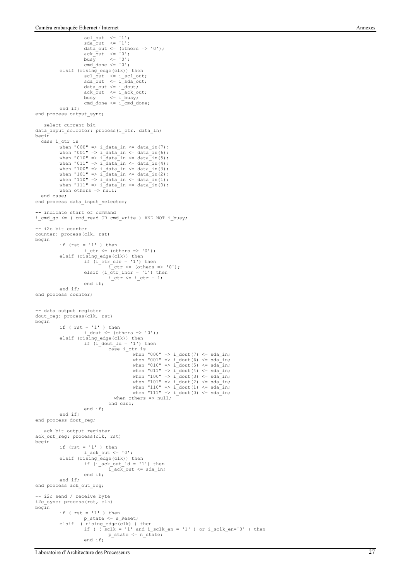```
scl_out <= '1';
sda_out <= '1';
                              data out \leq (others => '0');
                              ack_out <= '0';
busy <= '0';
                              cmd_done \leq '0';
               elsif (rising_edge(clk)) then
                              scl_out <= i_scl_out;
sda_out <= i_sda_out;
                              data_out \leq i\_dout;ack_out <= i_ack_out;
busy <= i_busy;
                              cmd\_done \le i\_cmd\_done;end if;
end process output sync;
-- select current bit
data_input_selector: process(i_ctr, data_in)
begin
   case i_ctr_is
               when "000" => i_data_in <= data_in(7);
               when "001" => i_data_in <= data_in(6);
when "010" => i_data_in <= data_in(5);<br>when "011" => i_data_in <= data_in(4);<br>when "100" => i_data_in <= data_in(3);<br>when "101" => i_data_in <= data_in(2);<br>when "110" => i_data_in <= data_in(2);<br>when "111" => i_data_in <=
               when others = \frac{1}{\text{null}};
    end case;
end process data input selector;
-- indicate start of command
i_cmd_go <= ( cmd_read OR cmd_write ) AND NOT i_busy;
-- i2c bit counter
counter: process(clk, rst)
begin
               if (rst = '1' ) then
                             i_{ctr} \leftarrow (others => '0');
               elsif (rising_edge(clk)) then<br>if (i ctr clr = '1') then
                                            \frac{1}{\pi} ctr \leq (others \Rightarrow '0');
                              elsif (i ctr incr = '1') then
                                             \bar{i} \bar{c} \bar{c} \bar{c} \bar{c} \bar{c} \bar{c} \bar{c} \bar{c} \bar{c} \bar{c} \bar{c} \bar{c} \bar{c} \bar{c} \bar{c} \bar{c} \bar{c} \bar{c} \bar{c} \bar{c} \bar{c} \bar{c} \bar{c} \bar{c} \bar{c} \bar{c} \bar{c}end if;
              end if;
end process counter;
-- data output register
dout_reg: process(clk, rst)
begin
               if (rst = '1') then
                             i dout \leq (others \Rightarrow '0');
               elsif (rising_edge(clk)) then
if (i_dout_ld = '1') then
                                             case i_ctr is
                                                            when "000" => i_dout(7) <= sda_in;when "001" => i_dout(6) <= sda_in;
when "010" => i_dout(5) <= sda_in;
                                                            when "011" \Rightarrow i_dout(4) \le sda_in;
                                                            When v_{11} \to i_{\text{1}} \to i_{\text{2}} \to j_{\text{2}} \to j_{\text{3}} \to j_{\text{4}} \to j_{\text{5}} \to j_{\text{6}} \to j_{\text{7}} \to j_{\text{7}} \to j_{\text{8}} \to j_{\text{8}} \to j_{\text{9}} \to j_{\text{1}} \to j_{\text{1}} \to j_{\text{1}} \to j_{\text{1}} \to j_{\text{1}} \to j_{\text{1}} \to j_{\text{1}} \to j_{\text{1}} \to j_{\text{1}} \to j_{\text{1}} \to j_{\text{1}} \to jwhen "101" => i dout(2) <= sda<sup>-</sup>in;
                                                             when "110" => i_dout(1) <= sda_in;
when "111" => i_dout(0) <= sda_in;
                                                when others => null;
                                             end case;
                             end if;
              end if;
end process dout reg:
-- ack bit output register
ack_out_reg: process(clk, rst)
begin
               if (rst = '1' ) then
               i_ack_out <= '0';
elsif (rising_edge(clk)) then
                              if (i_ack_{out\_ld} = '1') then
                                             i<sub>\alpha</sub>\alpha<sub>\alpha</sub>\alpha\beta \alpha\beta\alpha<sub>\beta</sub>\alpha\beta\alpha\beta\alpha\beta\alpha\beta\alpha\beta\betaend if;
              end if;
end process ack out reg;
-- i2c send / receive byte
i2c_sync: process(rst, clk)
begin
               if (rst = '1') then
                             p_state <= s_Reset;
               elsif ( rising_edge(clk) ) then<br>
if ( ( sclk = '1' and i_sclk_en = '1' ) or i_sclk_en='0' ) then<br>
p_state <= n_state;
                              end if;
```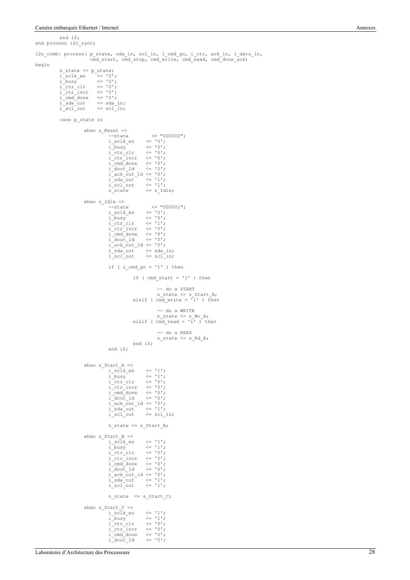end if;

```
end process i2c sync;
i2c_comb: process( p_state, sda_in, scl_in, i_cmd_go, i_ctr, ack_in, i_data_in,
 cmd_start, cmd_stop, cmd_write, cmd_read, cmd_done_ack)
begin
                 n_state <= p_state;
                  i_sclk_en <= '0';
i_busy <= '0';
i_ctr_clr <= '0';
                  i_ctr_incr <= '0';
i_cmd_done <= '0';
i_sda_out <= sda_in;
i_scl_out <= scl_in;
                 case p_state is
                                  when s_Reset =>
                                                    --state <= "000000";
i_sclk_en <= '0';
                                                    i_busy <= '0';
i_ctr_clr <= '0';
i_ctr_incr <= '0';
i_cmd_done <= '0';
i_dout_ld <= '0';
                                                    i_ack_out_ld <= '0';
i_sda_out <= '1';
i_scl_out <= '1';
n_state <= s_Idle;
                                  when s<sup>Idle =></sup><br>--state
                                                    --state <= "000001";<br>
i_sclk_en <= '0';<br>
i_busy <= '0';<br>
i_ctr_clr <= '1';<br>
i_ctr_incr <= '0';<br>
i_cmd_done <= '0';<br>
i_dout_ld <= '0';
                                                    iack_out\_ld \leq '0';
                                                    i_sda_out <= sda_in;
i_scl_out <= scl_in;
                                                   if ( i cmd go = '1' ) then
                                                                     if (cmd\_start = '1') then
                                                                                      -- do a START
                                                                      n_state <= s_Start_A;
elsif ( cmd_write = '1' ) then
                                                                      -- do a WRITE<br>
n\_state \leq s\_Wr\_A;<br>
elsif ( cmd read = '1' ) then
                                                                                       -- do a READ
                                                                                     n_state <= s_Rd_A;
                                                                     end if;
                                                   end if;
                                  when s_{\text{start}_A} =><br>i_sclk_en
                                                    i_sclk_en <= '1';
i_busy <= '1';
                                                   i_{\text{ctr\_clr}}i_ctr_incr <= '0';
i_cmd_done <= '0';
                                                    i\overline{\doteq}dout\overline{\doteq}ld \langle = 0, 0 \rangle;
                                                    iack_0outld <= '0';
                                                    i_sda_out <= '1';<br>i_scl_out <= scl_in;
                                                   n_state <= s_Start_B;
                                  when sStart_B =>
                                                    i_sclk_en <= '1';
i_busy <= '1';
i_ctr_clr <= '0';
i_ctr_incr <= '0';
i_cmd_done <= '0';
i_dout_ld <= '0';
                                                    i_ack_out_ld <= '0';
i_sda_out <= '1';
i_scl_out <= '1';
                                                   n_state <= s_Start_C;
                                  when s<sup>Istart</sup> C =>
                                                   i_s sclk_en \langle = '1';<br>i_b busy \langle = '1';i_busy <= '1';
i_ctr_clr <= '0';
i_ctr_incr <= '0';
i_cmd_done <= '0';
```
 $i$ <sup>-comm</sup>  $i$ -dout<sup>-1</sup>d  $\leq$  '0';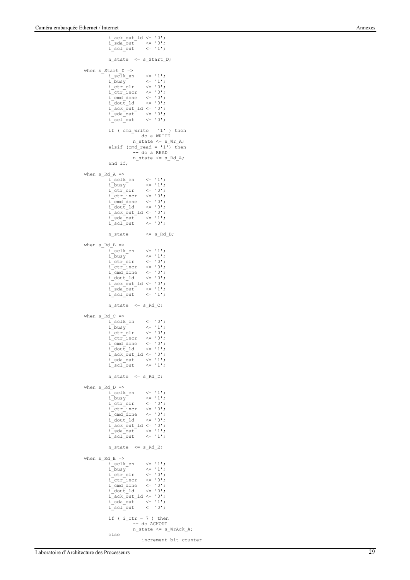```
\verb|i.ack.out_ld| \leq 0";i_sda_out <= '0';
i_scl_out <= '1';
               n_state <= s_Start_D;
when s_Start_D =><br>
i_sclk_en <= '1';<br>
i_busy <= '1';<br>
i_ctr_clr <= '0';
                i_ctr_incr <= '0';
i_cmd_done <= '0';
               i dout ld \leq '0';
               iack_0out_1d \leq 0';
                i_sda_out <= '0';
i_scl_out <= '0';
               if ( cmd\_write = '1' ) then
                              -- do a WRITE
                               n_state <= s_Wr_A;
                elsif (cmd_read = '1') then
                             -- do a READ
                             n_state <= s_Rd_A;
               end if;
when s RdA =>
                i_sclk_en <= '1';
i_busy <= '1';
i_ctr_clr <= '0';
                i_ctr_incr <= '0';
i_cmd_done <= '0';
i_dout_ld <= '0';
               i<sup>-</sup>ack_out_1d <= '0';
                i_sda_out <= '1';
i_scl_out <= '0';
               n\_state \leq s\_Rd_B;when s_Rd_B \Rightarrowi_sclk_en <= '1';
               i\_busy \langle = '1';<br>
i\_ctr~clr \langle = '0';i_ctr_clr <= '0';
i_ctr_incr <= '0';
i_cmd_done <= '0';
i_dout_ld <= '0';
               iack_out\_ld \leq '0';
                i_sda_out <= '1';
i_scl_out <= '1';
               n\_state \leq s\_Rd_C;when s_Rd_C \Rightarrowi_sclk_en <= '0';<br>i_busy <= '1';<br>i_ctr_clr <= '0';<br>i_ctr_incr <= '0';<br>i_cmd_done <= '0';<br>i_dout_ld <= '1';
               i\_dout\_ld \leq '1';<br>
i\_ack\_out\_ld \leq '0';
                i_sda_out <= '1';
i_scl_out <= '1';
               n_state <= s_Rd_D;
when s_Rd_D \Rightarrow i_Sclk en
                i_sclk_en <= '1';
i_busy <= '1';
i_ctr_clr <= '0';
i_ctr_incr <= '0';
i_cmd_done <= '0';
                i dout ld \leq 0';
                i_ack_out_ld <= '0';
i_sda_out <= '1';
i_scl_out <= '1';
               n_{\text{state}} \leq s_{\text{Rd}} E;when s RdE =>
                i_sclk_en <= '1';
i_busy <= '1';
i_ctr_clr <= '0';
i_ctr_incr <= '0';
i_cmd_done <= '0';
               idout ld \leq '0';
                i_ack_out_ld <= '0';
i_sda_out <= '1';
i_scl_out <= '0';
               if ( i ctr = 7 ) then
                              -- do ACKOUT
                              n_state <= s_WrAck_A;
               else
                              -- increment bit counter
```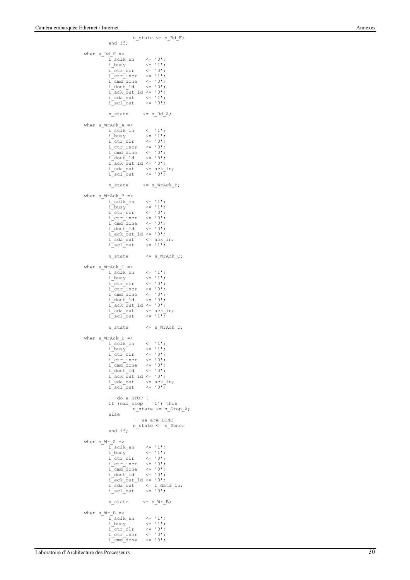```
end if;
when s_Rd_F =i<sub>sclk_en</sub> \langle = 0';<br>i busy \langle = 11';i_busy <= '1';
i_ctr_clr <= '0';
i_ctr_incr <= '1';
                  i_cmd_done <= '0';
                 i\_dout\_ldi_ack_out_ld <= '0';
i_sda_out <= '1';
i_scl_out <= '0';
                 n\_state \leq s\_Rd_A;when s_WrAck_A \Rightarrow<br>i sclk en \langle = '1';i_busy <= '1';
                  i_ctr_clr <= '0';
                  i ctr incr \leq '0';
                 i<sub>c</sub>md<sup>done</sup> \leq '0';
                  i_dout_ld <= '0';
i_ack_out_ld <= '0';
                  i_sda_out \leq ack_in;<br>i scl out \leq '0';
                 n_{\text{state}} \leq s_{\text{wrAck}}B;
 when s_WrAck_B \Rightarrow<br>i_sclk_en <= '1';
                 i_busy <= '1';
                 \begin{array}{llll} \mathrm{i\_ctr\_clr} & \iff \  \  \, \mathrm{i\_ctr\_incr} & \iff \  \  \, \mathrm{0'}\,;\\ \mathrm{i\_ctrl\_done} & \iff \  \  \, \mathrm{0'}\,;\\ \mathrm{i\_dout\_ld} & \iff \  \  \, \mathrm{0'}\,;\\ \end{array}i<sub>_ctr_incr</sub>
                 i_cmd_done<br>i_dout_1d
                  i_dout_ld <= '0';
i_ack_out_ld <= '0';
i_sda_out <= ack_in;
                 i<sub>sda</sub>out \le ack_in;<br>i_sdaout \le ack_in;
                 n_state <= s_WrAck_C;
when s WrAck C \Rightarrowi_sclk_en <= '1';
                  i busy \langle 1'_{1} \ranglei ctr clr \langle = '0';i_{\text{at}} \leftarrow '0';<br>i_{\text{end}} done \leftarrow '0';
                 i<sup>-</sup>cmd<sup>-</sup>done \langle = 0 \rangle;<br>i dout 1d \langle = 0 \rangle;
                 i dout 1di<sub>_ack_out_1d <= '0';</sub>
                  i_sda_out <= ack_in;<br>i scl out <= '1';
                 n state \leq s WrAck D;
when s WrAck D \Rightarrowi_sclk_en <= '1';<br>i_busy <= '1';<br>i_ctr clr <= '0';
                  i_busy <= '1';
i_ctr_clr <= '0';
i_ctr_incr <= '0';
i_cmd_done <= '0';
                  i_dout_ld <= '0';
i_ack_out_ld <= '0';
                  i_sda_out <= ack_in;
i_scl_out <= '0';
                  -- do a STOP ?
if (cmd_stop = '1') then
                                  n_{\text{state}} \leq s_{\text{stop\_A}};else
                                   -- we are DONE
                                  n_state <= s_Done;
                 end if;
 when s_Wr_A \Rightarrow<br>i_sclk_en <= '1';
                 i_busy \langle = 1 \rangle;<br>i_busy \langle = 1 \rangle;<br>i_ctr_clr \langle = 0 \rangle;
                  i_ctr_clr <= '0';
i_ctr_incr <= '0';
i_cmd_done <= '0';
                  i_dout_ld <= '0';
i_ack_out_ld <= '0';
                  i_sda_out <= i_data_in;
i_scl_out <= '0';
                 n_{\text{state}} \leq s_{\text{w}r_{\text{B}};when swr_B =>
                  i_sclk_en <= '1';
                 i\_busy \leftarrow '1';<br>
i\_ctr_clr \leftarrow '0';<br>
i\_ctr_incr \leftarrow '0';i<sub>ctr_clr</sub>
                 i_{\text{cm}} ctr_incr \langle = 10 \rangle;<br>i_cmd_done \langle = 10 \rangle;
                 i<sup>-cmd<sup>-</sup>done</sub></sup>
```
 $n_{\text{state}} \leq s_{\text{Rd}}$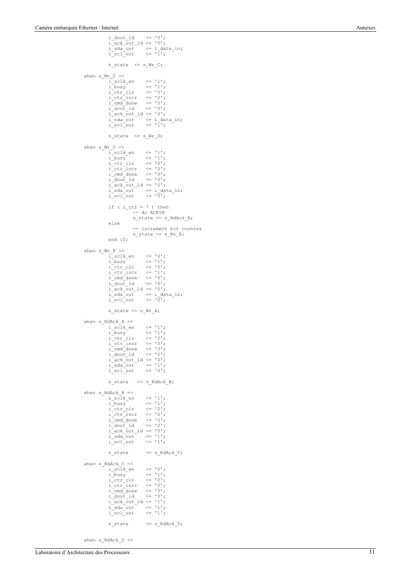```
i_dout_ld <= '0';
i_ack_out_ld <= '0';
i_sda_out <= i_data_in;
i_scl_out <= '1';
                n_{\text{state}} \leq s_{\text{wrc}};
when s_Wr_C \Rightarrow i \text{ sclk} en
                 i_sclk_en <= '1';
i_busy <= '1';
i_ctr_clr <= '0';
i_ctr_incr <= '0';
i_cmd_done <= '0';
i_dout_ld <= '0';
                i\bar{a}ck_out_ld <= '0';
                 i_sda_out <= i_data_in;
i_scl_out <= '1';
                n_state <= s_Wr_D;
when s_Wr_D \Rightarrowi<sub>sclk_en</sub> \leq '1';
                 i_busy <= '1';
i_ctr_clr <= '0';
i_ctr_incr <= '0';
i_cmd_done <= '0';
i_dout_ld <= '0';
                iack_out\_ld \leq 0';
                 i_sda_out <= i_data_in;
i_scl_out <= '0';
                 if ( i_{ctr} = 7 ) then<br>-- do ACKIN
                               n_state <= s_RdAck_A;
                else
                 -- increment bit counter<br>
n_state <= s_Wr_E;<br>
end if;
when s_Wr_E \Rightarrowi_sclk_en <= '0';
i_busy <= '1';
                 i_ctr_clr <= '0';
i_ctr_incr <= '1';
i_cmd_done <= '0';
                 i_dout_ld <= '0';
i_ack_out_ld <= '0';
                 i_sda_out <= i_data_in;
i_scl_out <= '0';
                n_state <= s_Wr_A;
when s_RdAckA \Rightarrowi_sclk_en <= '1';<br>i_sclk_en <= '1';
                 i_busy <= '1';
i_ctr_clr <= '0';
i_ctr_incr <= '0';
i_cmd_done <= '0';
i_dout_ld <= '0';
                 i_ack_out_ld <= '0';
i_sda_out <= '1';
i_scl_out <= '0';
                n\_state \leq s\_RdAck B;
when s RdAck B =>
                i_sclk_en<br>i busy
                i_busy <= '1';
                 i_ctr_clr <= '0';
i_ctr_incr <= '0';
                 i cmd done \leq '0';
                i<sup>-chia</sup><sup>-chia</sup> dout 1d \le '0';
                iack out ld <= '0';
                 i_sda_out <= '1';
i_scl_out <= '1';
                \begin{tabular}{ll} n\_state & & \mbox{$\ltless$} & \mbox{$\tt \verb|.|} \end{tabular}when s_RdAck_C \Rightarrowi_sclk_en <= '0';
                 i_busy <= '1';
i_ctr_clr <= '0';
i_ctr_incr <= '0';
                 i<sup>-</sup>cmd<sup>-</sup>done \le '0';<br>i<sup>-dout 1d \le '0';</sup>
                i<sup>-dout</sup> 1di\bar{a}ck_\bar{0}ut\_ld <= '1';
                 i_sda_out <= '1';
i_scl_out <= '1';
                n_state <= s_RdAck_D;
```
when s  $RdAck$  D =>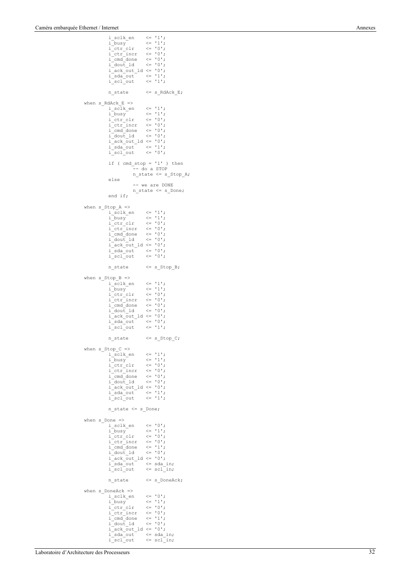```
i_sclk_en \langle = 1' \rangle;<br>i_busy \langle = 1' \rangle;
                 i\_busy \leq  '1';<br>i\_ctr~clr \leq  '0';i_{\text{ctr}} \langle = 0';<br>i_{\text{ctr}} \langle = 0';
                  i_ctr_incr <= '0';
i_cmd_done <= '0';
                  i_dout_ld <= '0';
i_ack_out_ld <= '0';
                  i_sda_out <= '1';
i_scl_out <= '1';
                 n_state <= s_RdAck_E;
when s_RdAck_E \Rightarrowi_sclk_en <= '1';
                 i_busy <= '1';
                  i_ctr_clr <= '0';
i_ctr_incr <= '0';
i_cmd_done <= '0';
i_dout_ld <= '0';
                 i\bar{a}ck_\bar{0}ut\_Id \leq 0';
                  i_sda_out <= '1';
i_scl_out <= '0';
                 if (cmd\_stop = '1') then
                                   ______<br>-- do a STOP
                                  n = 1 and n = 1;
                 else
                                   -- we are DONE
                                   n_state <= s_Done;
                 end if;
when sStop_A =>
                 i_sclk_en <= '1';
                  i_busy <= '1';
i_ctr_clr <= '0';
                 i_{\text{cm}} \bar{i}_{\text{cm}} \bar{i}_{\text{cm}} \bar{i}_{\text{cm}} \bar{i}_{\text{cm}} \bar{i}_{\text{cm}} \bar{i}_{\text{cm}} \bar{i}_{\text{cm}} \bar{i}_{\text{cm}} \bar{i}_{\text{cm}} \bar{i}_{\text{cm}} \bar{i}_{\text{cm}} \bar{i}_{\text{cm}} \bar{i}_{\text{cm}} \bar{i}_{\text{cm}} \bar{i}_{\text{cm}} \bar{i}_{\text{cm}} \bar{i}_{\text{cm}} \bar{i}_{\texti_cmd_done <= '0';
i_dout_ld <= '0';
                 i\bar{a}ck_out_ld <= '0';
                  i_sda_out <= '0';
i_scl_out <= '0';
                 n_state <= s_Stop_B;
when sStop_B =>
                  i_sclk_en <= '1';
i_busy <= '1';
                  i_ctr_clr <= '0';
i_ctr_incr <= '0';
                 i<sub>c</sub> cmd<sup>done</sup> \leq '0';
                  i_dout_ld <= '0';
i_ack_out_ld <= '0';
                  i_sda_out <= '0';
i_scl_out <= '1';
                 \begin{tabular}{ll} n\_state & $\leftarrow$ s\_Stop_C; \end{tabular}when s\_Stop_C \Rightarrow<br>
i\_sch\_en \langle = '1';i_busy <= '1';
                  i_ctr_clr <= '0';
i_ctr_incr <= '0';
i_cmd_done <= '0';
i_dout_ld <= '0';
                  i_ack_out_ld <= '0';
i_sda_out <= '1';
i_scl_out <= '1';
                 n_state <= s_Done;
when s\_{\text{bone}} \Rightarrow<br>i sclk en
                  i_sclk_en <= '0';
i_busy <= '1';
                 i_{ctr} _{ctr}i_ctr_incr <= '0';
i_cmd_done <= '1';
                  i_dout_ld <= '0';
i_ack_out_ld <= '0';
                  i_sda_out <= sda_in;<br>i scl out <= scl in;
                 n state \leq s DoneAck;
when s DoneAck =>
                 i_sclk_en \langle = 10';<br>i_busy \langle = 11';i_busy <= '1';
i_ctr_clr <= '0';
i_ctr_incr <= '0';
                  i_cmd_done <= '1';<br>i_cmd_done <= '1';
                 i_dout_ld
                 i<sub>d</sub> ack_out_1d <= '0';<br>
i_sda_out <= sda_<br>
i_scl_out <= scl_
                  i_sda_out <= sda_in;
i_scl_out <= scl_in;
```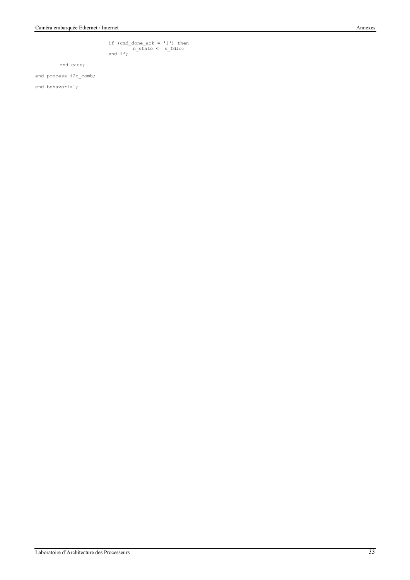if (cmd\_done\_ack = '1') then n\_state <= s\_Idle; end if;

end case;

end process i2c\_comb;

end behavorial;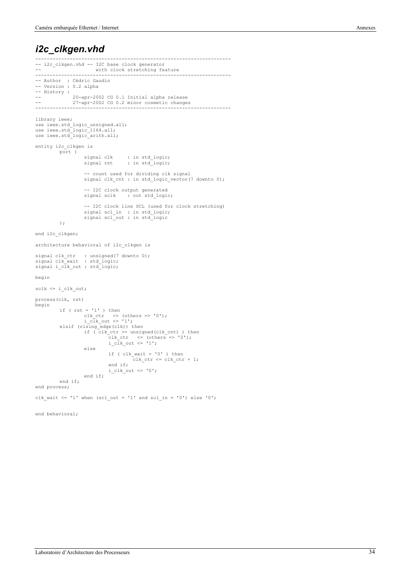#### *i2c\_clkgen.vhd*

```
--------------------------------------------------------------------
-- i2c_clkgen.vhd -- I2C base clock generator
-- - with clock stretching feature
--------------------------------------------------------------------
-- Author : Cédric Gaudin
-- Version : 0.2 alpha
-- History :
-- 20-apr-2002 CG 0.1 Initial alpha release
-- 27-apr-2002 CG 0.2 minor cosmetic changes
--------------------------------------------------------------------
library ieee;
use ieee.std_logic_unsigned.all;
use ieee.std_logic_1164.all;
use ieee.std_logic_arith.all;
entity i2c_clkgen is
          port (
                       signal clk : in std_logic;
signal rst : in std_logic;
                      -- count used for dividing clk signal
                      signal clk_cnt : in std_logic_vector(7 downto 0);
                      -- I2C clock output generated<br>signal sclk : out std logie
                                         : out std logic;
                      -- I2C clock line SCL (used for clock stretching)
                       signal scl_in : in std_logic;
signal scl_out : in std_logic
           );
end i2c_clkgen;
architecture behavioral of i2c_clkgen is
signal clk_ctr : unsigned(7 downto 0);
signal clk_wait : std_logic;
signal i_clk_out : std_logic;
begin
sclk <= i_clk_out;
process(clk, rst)
begin
            if (rst = '1') then<br>clk ctr \leq (others => '0');
                      i clk out \le '1';
           elsif (rising edge(clk)) then
                      if ( clk_ctr >= unsigned(clk_cnt) ) then
                                   clk_ctr <= (others => '0');
i_clk_out <= '1';
                      else
                                  if ( clk wait = '0' ) then
                                            clk ctr \leq clk ctr + 1;
                                  end if;
                                  i<sup>clk</sup>out \le '0';
                      end if;
           end if;
end process;
clk_wait <= '1' when (scl\_out = '1' and scl\_in = '0') else '0';
end behavioral;
```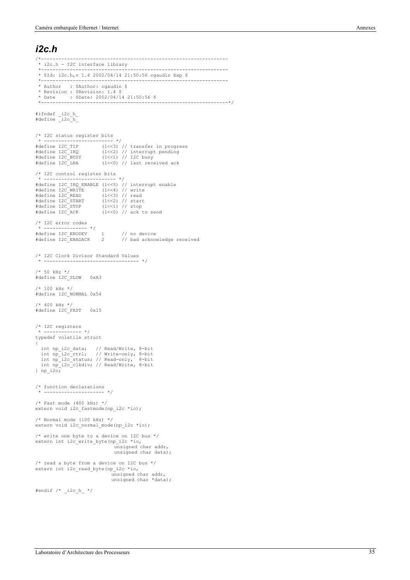#### *i2c.h*

```
/*-----------------------------------------------------------------
  * i2c.h - I2C interface library
 *-----------------------------------------------------------------
 * $Id: i2c.h,v 1.4 2002/04/14 21:50:56 cgaudin Exp $
 *-----------------------------------------------------------------
  * Author : $Author: cgaudin $
 * Revision : $Revision: 1.4 $
 * Date : $Date: 2002/04/14 21:50:56 $
                                                               *-----------------------------------------------------------------*/
#ifndef _i2c_h_
#define _i2c_h_
/* I2C status register bits
 * ------------------------ */
#define I2C_TIP (1<<3) // transfer in progress
#define I2C_IRQ (1<<2) // interrupt pending
#define I2C_BUSY (1<<1) // I2C busy
#define I2C_LRA (1<<0) // last received ack
/* I2C control register bits<br>* -------------------------- */
* --------------------------- */<br>#define I2C_IRQ_ENABLE (1<<5) // interrupt enable<br>#define I2C_READ (1<<3) // write<br>#define I2C_READ (1<<3) // read<br>#define I2C_READ (1<<3) // start<br>#define I2C_STOP (1<<1) // stop<br>#define I
/* I2C error codes
  * --------------- */
#define I2C_ENODEV 1 // no device
#define I2C_EBADACK 2 // bad acknowledge received
/* I2C Clock Divisor Standard Values
           * --------------------------------- */
/* 50 kHz */
#define I2C_SLOW 0xA3
/* 100 kHz */
#define I2C_NORMAL 0x54
/* 400 kHz */
#define I2C_FAST 0x15
/* I2C registers
  * ------------- */
typedef volatile struct
{
 int np_i2c_data; // Read/Write, 8-bit
 int np_i2c_ctrl; // Write-only, 8-bit
 int np_i2c_status; // Read-only, 8-bit
   int np_i2c_clkdiv; // Read/Write, 8-bit
} np_i2c;
/* function declarations
 * --------------------- */
/* Fast mode (400 kHz) */
extern void i2c_fastmode(np_i2c *io);
/* Normal mode (100 kHz) */
extern void i2c_normal_mode(np_i2c *io);
/* write one byte to a device on I2C bus */
extern int i2c_write_byte(np_i2c *io,
 unsigned char addr,
                                        unsigned char data);
/* read a byte from a device on I2C bus */
extern int i2c_read_byte(np_i2c *io,
                                       unsigned char addr,
                                        unsigned char *data);
#endif /* _i2c_h_ */
```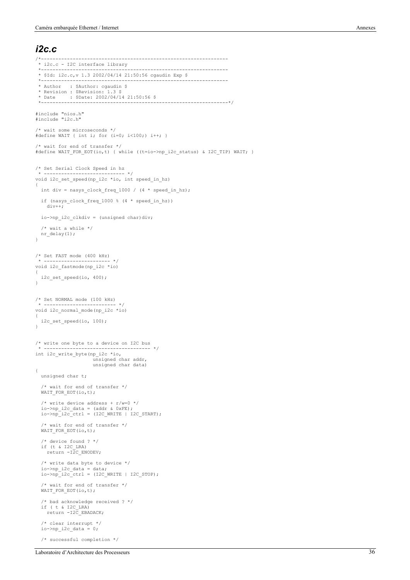#### *i2c.c*

```
/*-----------------------------------------------------------------
  * i2c.c - I2C interface library
 *-----------------------------------------------------------------
 * $Id: i2c.c,v 1.3 2002/04/14 21:50:56 cgaudin Exp $
 *-----------------------------------------------------------------
  * Author : $Author: cgaudin $
 * Revision : $Revision: 1.3 $
 * Date : $Date: 2002/04/14 21:50:56 $
  *-----------------------------------------------------------------*/
#include "nios.h"
#include "i2c.h"
/* wait some microseconds */
#define WAIT { int i; for (i=0; i<100;) i++; }
/* wait for end of transfer */
#define WAIT_FOR_EOT(io,t) { while ((t=io->np_i2c_status) & I2C_TIP) WAIT; }
/* Set Serial Clock Speed in hz
 * ---------------------------- */
void i2c_set_speed(np_i2c *io, int speed_in_hz)
{
  int div = nasys_clock_freq_1000 / (4 * speed_in_hz);if (nasys clock freq 1000 % (4 * speed in hz))
    div++; io->np_i2c_clkdiv = (unsigned char)div;
  /* wait a while */nr delay(1);
}
/* Set FAST mode (400 kHz)
 * ----------------------- */
void i2c_fastmode(np_i2c *io)
{
   i2c_set_speed(io, 400);
}
/* Set NORMAL mode (100 kHz)
        * ------------------------- */
void i2c_normal_mode(np_i2c *io)
{
  i2c_set_speed(io, 100);
}
/* write one byte to a device on I2C bus
                                  * ------------------------------------- */
int i2c_write_byte(np_i2c *io,
                        unsigned char addr,
                         unsigned char data)
{
   unsigned char t;
   /* wait for end of transfer */
  WAIT_FOR_EOT(io,t);
 /* write device address + r/w=0 */
 io->np_i2c_data = (addr & 0xFE);
 io->np_i2c_ctrl = (I2C_WRITE | I2C_START);
 /* wait for end of transfer */
 WAIT_FOR_EOT(io,t);
 /* device found ? */
 if (t & I2C_LRA)
    return -I2C ENODEV;
  \prime^{\star} write data byte to device ^{\star}/ io->np_i2c_data = data;
 io->np_i2c_ctrl = (I2C_WRITE | I2C_STOP);
   /* wait for end of transfer */
   WAIT_FOR_EOT(io,t);
   /* bad acknowledge received ? */
 if ( t & I2C_LRA)
 return -I2C_EBADACK;
   /* clear interrupt */
  io->np_12c_data = 0; /* successful completion */
```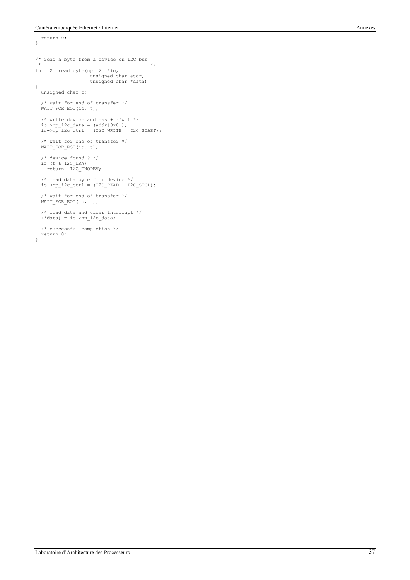return 0;

```
}
/* read a byte from a device on I2C bus
 * ------------------------------------ */
int i2c_read_byte(np_i2c *io,
                         unsigned char addr,
 unsigned char *data)
{
   unsigned char t;
 /* wait for end of transfer */
 WAIT_FOR_EOT(io, t);
  /* write device address + r/w=1 */
 io->np_i2c_data = (addr|0x01);
 io->np_i2c_ctrl = (I2C_WRITE | I2C_START);
 /* wait for end of transfer */
WAIT FOR EOT(io, t);
 /* device found ? */
 if (t & I2C_LRA)
 return -I2C_ENODEV;
 /* read data byte from device */
 io->np_i2c_ctrl = (I2C_READ | I2C_STOP);
 /* wait for end of transfer */
 WAIT_FOR_EOT(io, t);
   /* read data and clear interrupt */
  (*data) = io->np_izc_data; /* successful completion */
 return 0;
}
```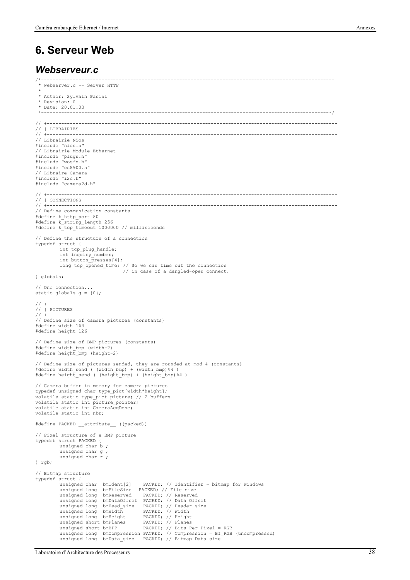#### **6. Serveur Web**

#### *Webserveur.c*

```
/*------------------------------------------------------------------------------------------------------
  * webserver.c -- Server HTTP
 *------------------------------------------------------------------------------------------------------
  * Author: Sylvain Pasini
  * Revision: 0
  * Date: 20.01.03
 *----------------------------------------------------------------------------------------------------*/
// +-----------------------------------------------------------------------------------------------------
// | LIBRAIRIES<br>// +------------
// +-----------------------------------------------------------------------------------------------------
// Librairie Nios
#include "nios.h"
// Librairie Module Ethernet
#include "plugs.h"
#include "wosfs.h"
#include "cs8900.h"
// Libraire Camera
#include "i2c.h"
#include "camera2d.h"
// +-----------------------------------------------------------------------------------------------------
// | CONNECTIONS
// +-----------------------------------------------------------------------------------------------------
// Define communication constants
#define k_http_port 80
#define k_string_length 256
#define k_tcp_timeout 1000000 // milliseconds
// Define the structure of a connection
typedef struct {
          int tcp_plug_handle;
          int inquiry_number;
          int button_presses[4];
           long tcp_opened_time; // So we can time out the connection
 // in case of a dangled-open connect.
} globals;
// One connection...
static globals g = \{0\};// +-----------------------------------------------------------------------------------------------------
// | PICTURES
// +-----------------------------------------------------------------------------------------------------
// Define size of camera pictures (constants)
#define width 164
#define height 126
// Define size of BMP pictures (constants)
#define width_bmp (width-2)
#define height_bmp (height-2)
// Define size of pictures sended, they are rounded at mod 4 (constants)<br>#define width send ( (width bmp) + (width bmp)%4 )
#define height send ( (height bmp) + (height bmp)%4 )
// Camera buffer in memory for camera pictures
typedef unsigned char type_pict[width*height];
volatile static type_pict picture; // 2 buffers
volatile static int picture_pointer;
volatile static int CameraAcqDone;
volatile static int nbr;
#define PACKED __attribute__ ((packed))
// Pixel structure of a BMP picture
typedef struct PACKED {
          unsigned char b ;
          unsigned char g ;
          unsigned char r ;
} rgb;
// Bitmap structure
typedef struct {<br>unsigned char bmIdent[2]
                                              PACKED; // Identifier = bitmap for Windows
          unsigned long bmFileSize PACKED; // File size<br>unsigned long bmFileSize PACKED; // File size
          unsigned long bmReserved
          unsigned long bmDataOffset PACKED; // Data Offset<br>unsigned long bmHead_size PACKED; // Header size
           unsigned long bmHead_size PACKED; // Header size
unsigned long bmWidth PACKED; // Width
          unsigned long bmHeight PACKED; // Height
          unsigned short bmPlanes<br>unsigned short bmBPP
                                         PACKED; // Height<br>PACKED; // Planes<br>PACKED; // Bits Per Pixel = RGB
           unsigned long bmCompression PACKED; // Compression = BI_RGB (uncompressed)
unsigned long bmData_size PACKED; // Bitmap Data size
```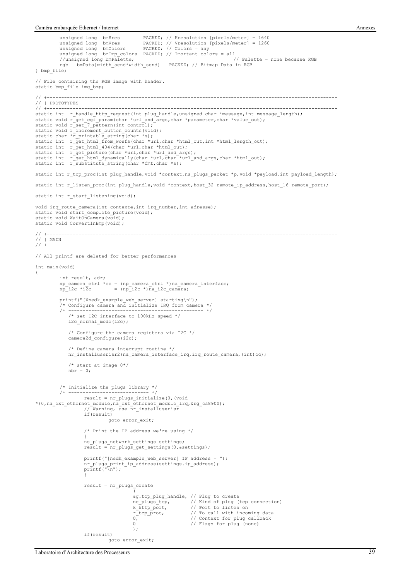```
unsigned long bmHres PACKED; // Hresolution [pixels/meter] = 1640
unsigned long bmVres PACKED; // Vresolution [pixels/meter] = 1260
          unsigned long bmColors PACKED; // Colors = any
          unsigned long bmImp_colors PACKED; // Imortant colors = all
//unsigned long bmPalette; // Palette = none because RGB
          rgb bmData[width_send*width_send] PACKED; // Bitmap Data in RGB
} bmp_file;
// File containing the RGB image with header.
static bmp_file img_bmp;
// +-----------------------------------------------------------------------------------------------------
// | PROTOTYPES<br>// +-----------
// +-----------------------------------------------------------------------------------------------------
static int r_handle_http_request(int plug_handle,unsigned char *message,int message_length);
static void r_get cgi_param(char *url_and_args,char *parameter,char *value out);
static void r_set_7_pattern(int control);
static void r_increment button counts(void);
static char *r_printable_string(char *s);<br>static int  r_get_html_from_wosfs(char *url,char *html_out,int *html_length_out);
static int r_get_html_404(char *url,char *html_out);
static int r_get_picture(char *url,char *url_and_args);
static int r_get_html_dynamically(char *url,char *url_and_args,char *html_out);
static int r_substitute_string(char *fmt,char *s);
static int r tcp proc(int plug handle, void *context, ns plugs packet *p, void *payload, int payload length);
static int r_listen_proc(int plug_handle,void *context,host 32 remote ip_address,host 16 remote_port);
static int r_start_listening(void);
void irq_route_camera(int contexte,int irq_number,int adresse);
static void start_complete_picture(void);
static void WaitOnCamera(void);
static void ConvertInBmp(void);
// +-----------------------------------------------------------------------------------------------------
\frac{1}{\sqrt{2}} | MAIN
// +-----------------------------------------------------------------------------------------------------
// All printf are deleted for better performances
int main(void)
{
          int result, adr;
np_camera_ctrl *cc = (np_camera_ctrl *)na_camera_interface;<br>np_i2c *i2c = (np_i2c *)na_i2c_camera;
          printf("[Xnedk_example_web_server] starting\n");
          /* Configure camera and initialize IRQ from camera */
                           /* ----------------------------------------------- */
               /* set I2C interface to 100kHz speed */
              i2c_normal_mode(i2c);
               /* Configure the camera registers via I2C */
             camera2d_configure(i2c);
               /* Define camera interrupt routine */
             nr installuserisr2(na_camera_interface_irq,irq_route_camera,(int)cc);
               /* start at image 0*/
             nbr = 0;/* Initialize the plugs library */
/* ---------------------------- */
                    result = nr_plugs_initialize(0,(void
*) 0, na ext ethernet module, na ext ethernet module irq, &ng cs8900);
                    // Warning, use nr_installuserisr
                    if(result)
                               goto error_exit;
                    /* Print the IP address we're using */
                     {
                    ns_plugs_network_settings settings;
                    result = nr\_plugs\_get\_settings(0, \&settings);printf("[nedk_example_web_server] IP address = ");
                     nr_plugs_print_ip_address(settings.ip_address);
printf("\n");
                     }
                    result = nr_plugs_create
                                          (
&g.tcp_plug_handle, // Plug to create
ne_plugs_tcp, // Kind of plug (tcp connection)
k_http_port, // Port to listen on
                                          r_tcp_proc, (1) is call with incoming data<br>r_tcp_proc, (1) To call with incoming data<br>0.
                                         0, \frac{1}{2} // Context for plug callback<br>0 // Context for plug callback
                                                                 // Flags for plug (none)
                                         );
                    if(result)
                               goto error_exit;
```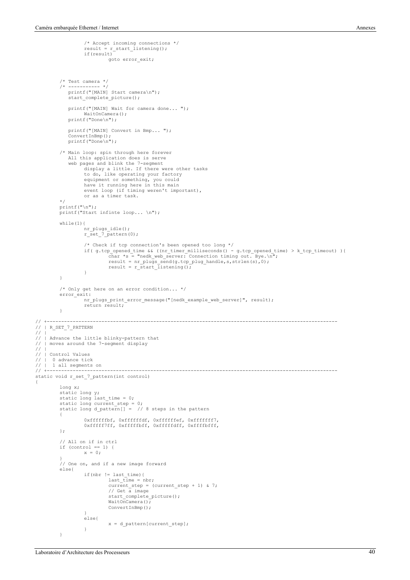/\* Accept incoming connections \*/

```
result = r_start_listening();
                    if(result)
                              goto error_exit;
           /* Test camera */
          7* ----------- */
              printf("[MAIN] Start camera\n");
              start_complete_picture();
              printf("[MAIN] Wait for camera done... ");
                    WaitOnCamera();
              printf("Done\n");
              printf("[MAIN] Convert in Bmp... ");
              ConvertInBmp();
              printf("Done\n");
          /* Main loop: spin through here forever
           All this application does is serve
 web pages and blink the 7-segment
display a little. If there were other tasks
                    to do, like operating your factory
                     equipment or something, you could
have it running here in this main
                    event loop (if timing weren't important),
                    or as a timer task. 
          */
          print(f("\n');
          printf("Start infinte loop... \n");
          while(1) {
                    nr_plugs_idle();
                    r_set_7_pattern(0);
                     /* Check if tcp connection's been opened too long */<br>if (g.tcp_opened_time && ((nr_timer_milliseconds) - g.tcp_opened_time) > k_tcp_timeout) ){<br>char *s = "nedk_web_server: Connection timing out. Bye.\n";<br>result = nr plugs
                              result = r start listening();
                    }
          }
          /* Only get here on an error condition... */
          error_exit:
                   nr_plugs_print_error_message("[nedk_example_web_server]", result);
                    return result;
          }
// +-----------------------------------------------------------------------------------------------------
   // | R_SET_7_PATTERN
// |
   | Advance the little blinky-pattern that
   | moves around the 7-segment display
   |<br>| Control Values
// | 0 advance tick
// | 1 all segments on
// +-----------------------------------------------------------------------------------------------------
static void r_set_7_pattern(int control)
          long x;
          static long y;
          static long last_time = 0;static long current_step = 0;<br>static long d pattern[] = // 8 steps in the pattern
          {
                    0xffffffbf, 0xffffffdf, 0xffffffef, 0xfffffff7,
                    0xfffff7ff, 0xfffffbff, 0xfffffdff, 0xffffbfff,
          };
          // All on if in ctrl
          if (control == 1) {<br>x = 0;
          }
// One on, and if a new image forward
          else{
                     if(nbr != last_time){
last_time = nbr;
                              current step = (current step + 1) & 7;
                               // Get a image
                               start_complete_picture();
                              WaitOnCamera();
                              ConvertInBmp():
                     }
else{
                              x = d_pattern[current_step];
                    }
          }
```
 $\frac{1}{11}$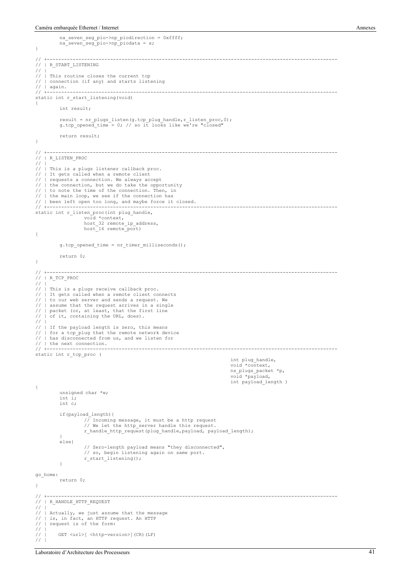```
na_seven_seg_pio->np_piodirection = 0xffff;
na_seven_seg_pio->np_piodata = x;
}
// +-----------------------------------------------------------------------------------------------------
    // | R_START_LISTENING
// |
// | This routine closes the current tcp<br>// | connection (if any) and starts list
// | connection (if any) and starts listening<br>// | connection (if any) and starts listening<br>// | again.
// | again.<br>// |-------
// +-----------------------------------------------------------------------------------------------------
static int r_start_listening(void)
{
          int result;
          result = nr plugs_listen(g.tcp_plug_handle,r_listen_proc,0);
          g.tcp opened time = 0; // so it looks like we're "closed"
          return result;
}
// +-----------------------------------------------------------------------------------------------------
// | R_LISTEN_PROC
// |
// | This is a plugs listener callback proc.
// | It gets called when a remote client
// | requests a connection. We always accept
   // | the connection, but we do take the opportunity
// | to note the time of the connection. Then, in
// | the main loop, we see if the connection has
// | been left open too long, and maybe force it closed.
// +-----------------------------------------------------------------------------------------------------
static int r_listen_proc(int plug_handle,
                      void *context,<br>host 32 remote ip address,
                      host_16 remote_port)
{
           g.tcp_opened_time = nr_timer_milliseconds();
          return 0;
}
// +-----------------------------------------------------------------------------------------------------
// | R_TCP_PROC
\hspace{-.05in}/ \hspace{-.05in}// | This is a plugs receive callback proc.
// | It gets called when a remote client connects<br>// | to our web server and sends a request. We
// | to our web server and sends a request. We<br>// | assume that the request arrives in a sing
// | assume that the request arrives in a single<br>// | packet (or, at least, that the first line
// | packet (or, at least, that the first line
// | of it, containing the URL, does).
/// | If the payload length is zero, this means<br>// | for a tcp plug that the remote network de
// | for a tcp_plug that the remote network device<br>// | has disconnected from us, and we listen for
   | has disconnected from us, and we listen for
// | the next connection.
         // +-----------------------------------------------------------------------------------------------------
static int r_tcp_proc (
                                                                                         int plug_handle,
                                                                                         void *context,
                                                                                         ns_plugs_packet *p,
                                                                                         void *payload,
                                                                                         int payload_length )
{
           unsigned char *w;
           int i;
           int c;
           if(payload_length){
                      // Incoming message, it must be a http request
                      // We let the http server handle this request.
                      r_handle_http_request(plug_handle,payload, payload length);
           }
           else{
                      // Zero-length payload means "they disconnected",
                      // so, begin listening again on same port.
r_start_listening();
           }
go_home:
          return 0;
}
// +-----------------------------------------------------------------------------------------------------
    // | R_HANDLE_HTTP_REQUEST
// |
// | Actually, we just assume that the message
// | is, in fact, an HTTP request. An HTTP
// | request is of the form:
\frac{1}{11}GET <url>[ <http-version>](CR)(LF)
7/1
```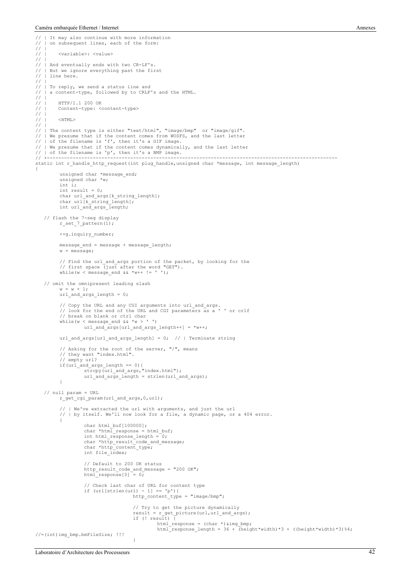```
// | It may also continue with more information<br>// | on subsequent lines, each of the form:
    // | on subsequent lines, each of the form:
\frac{1}{11}// | <variable>: <value>
\! / \!/\!// | And eventually ends with two CR-LF's.<br>// | But we ignore everything past the fir
// | But we ignore everything past the first<br>// | line here.
    // | line here.
// |
    // | To reply, we send a status line and
    | a content-type, followed by to CRLF's and the HTML.
// |<br>// |<br>// |
// | HTTP/1.1 200 OK<br>// | Content-type: <
          // | Content-type: <content-type>
// |<br>// |<br>// |
          \angle HTML\sim// |
,, , ,<br>// | The content type is either "text/html", "image/bmp" or "image/gif".<br>// | We presume that if the content comes from WOSFS, and the last letter
// | We presume that if the content comes from WOSFS, and the last letter // | of the filename is 'f', then it's a GIF image.
// | of the filename is 'f', then it's a GIF image.
   // We presume that if the content comes dynamically, and the last letter
// | of the filename is 'p', then it's a BMP image.
// +-----------------------------------------------------------------------------------------------------
static int r_handle_http_request(int plug_handle,unsigned char *message, int message_length)
{
           unsigned char *message end;
           unsigned char *w;
           int i;
           int result = 0;
            char url_and_args[k_string_length];
char url[k_string_length];
int url_and_args_length;
 // flash the 7-seg display
r_set_7_pattern(1);
           ++g.inquiry_number;
           message_end = message + message_length;
           w = message;// Find the url and args portion of the packet, by looking for the
            // first space (just after the word "GET").
           while(w < message end &\& *w++ != ' ');
     // omit the omnipresent leading slash
           w = w + 1:
           url_and_args_length = 0;
           // Copy the URL and any CGI arguments into url_and_args.
            // look for the end of the URL and CGI parameters as a ' ' or crlf<br>// break on blank or ctrl char<br>while(w < message_end && *w > ' ')<br>url_and_args[url_and_args_length++] = *w++;
           url and args[url and args length] = 0; // | Terminate string
            // Asking for the root of the server, "/", means
// they want "index.html".
            // empty url?
            if(url_and_args_length == 0){
                        strcpy(url_and_args,"index.html");
url_and_args_length = strlen(url_and_args);
            }
     // null param = URL
           r_get_cgi_param(url_and_args,0,url);
            // | We've extracted the url with arguments, and just the url
// | by itself. We'll now look for a file, a dynamic page, or a 404 error.
            {
                       char html buf[100000];
                       char *html response = html buf;
                       int html_response_length = 0;char *http_result_code_and_message;
char *http_content_type;
                       int file_index;
                        // Default to 200 OK status
                       http_result_code_and_message = "200 OK";
                       html\_response[0] = 0;// Check last char of URL for content type
                       if (url[strlen(url) - 1] == 'p') {
                                              http_content_type = "image/bmp";
                                               // Try to get the picture dynamically
                                               result = r_get_picture(url,url_and_args);
if (! result) {
                                                          html_response = (char *) & img_bmp;
                                                          html_response_length = 36 + (height*width)*3 + ((height*width)*3)%4;
//=(int)img_bmp.bmFileSize; !!!
```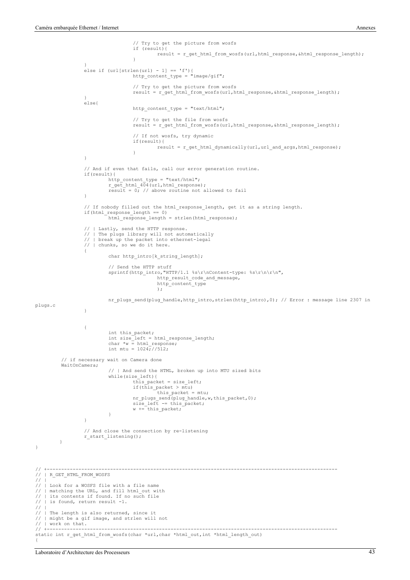```
// Try to get the picture from wosfs
                                        if (result){
                                                 result = r_get_html_from_wosfs(url,html_response,&html_response_length);
                                        }
                    }
else if (url[strlen(url) - 1] == 'f'){
                                       http_content_type = "image/gif";
                                        // Try to get the picture from wosfs
                                        result = r_get_html_from_wosfs(url,html_response,&html_response_length);
                    }
else{
                                       http_content_type = "text/html";
                                        // Try to get the file from wosfs
                                        result = r_get_html_from_wosfs(url,html_response, &html_response_length);
                                        // If not wosfs, try dynamic
                                        if(result){
                                                 result = r_get_html_dynamically(url,url_and_args,html_response);
                                        }
                    }
                    // And if even that fails, call our error generation routine.
                   if(result){
                             http content type = "text/html";
                             r_get_html_404(url,html_response);
                             result = 0; // above routine not allowed to fail
                   }
                    // If nobody filled out the html_response_length, get it as a string length.
                    if(html_response_length == 0)
                             html_response_length = strlen(html_response);
                    // | Lastly, send the HTTP response.
                    // | The plugs library will not automatically
                       // | break up the packet into ethernet-legal
                    // | chunks, so we do it here.
                    {
                             char http_intro[k_string_length];
                              // Send the HTTP stuff
                             sprintf(http_intro,"HTTP/1.1 %s\r\nContent-type: %s\r\n\r\n",
                                                 http_result_code_and_message,
                                                 http_content_type
                                                 );
                             nr plugs send(plug handle,http intro,strlen(http intro),0); // Error : message line 2307 in
plugs.c
                    }
                    {
                             int this packet;
                              int size_left = html_response_length;
char *w = html_response;
                             int mtu = 10247^{7}/512;
           // if necessary wait on Camera done
          WaitOnCamera;
                              // | And send the HTML, broken up into MTU sized bits
                             while(size_left){
                                       this_packet = size left;
                                       if(t\overline{his\_packet} > m\overline{tu})this packet = mu;
                                        nr_plugs_send(plug_handle,w,this_packet,0);<br>size_left -= this_packet;
                                       w += this_packet;
                             }
                   }
                   // And close the connection by re-listening
                   r_start_listening();
        }
// +-----------------------------------------------------------------------------------------------------
   // | R_GET_HTML_FROM_WOSFS
// | Look for a WOSFS file with a file name<br>// | matching the URL, and fill html out wi
// | matching the URL, and fill html_out with<br>// | its contents if found. If no such file
   | its contents if found. If no such file
   // | is found, return result -1.
// | The length is also returned, since it<br>// | might be a gif image, and strlen will
// | might be a gif image, and strlen will not<br>// | might be a gif image, and strlen will not
// | work on that.<br>// +--------------
// +-----------------------------------------------------------------------------------------------------
static int r_get_html_from_wosfs(char *url,char *html_out,int *html_length_out)
```
 $\frac{1}{11}$ 

// |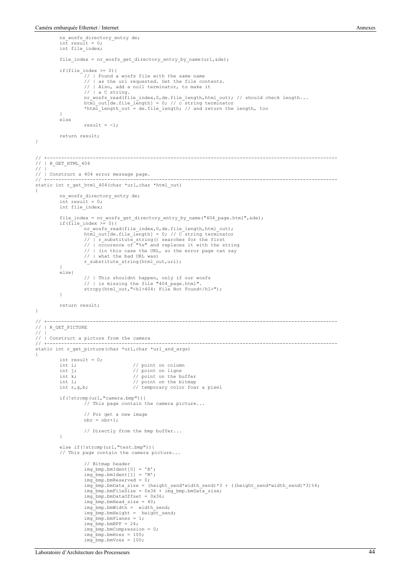{

}

```
ns_wosfs_directory_entry de;
int result = 0;
          int file index;
          file_index = nr_wosfs_get_directory_entry_by_name(url,&de);
          if(file_index >= 0){
                     // | Found a wosfs file with the same name
// | as the url requested. Get the file contents.
                     // | Also, add a null terminator, to make it
                     // | a C string.
                     nr_wosfs_read(file_index,0,de.file_length,html_out); // should check length...
                     html_out[de.file_length] = 0; // c string terminator
*html_length_out = de.file_length; // and return the length, too
           }
else
                     result = -1;
          return result;
// +-----------------------------------------------------------------------------------------------------
// | R_GET_HTML_404
/ /
// | Construct a 404 error message page.
// +-----------------------------------------------------------------------------------------------------
static int r_get_html_404(char *url,char *html_out)
           ns_wosfs_directory_entry de;
int result = 0;
          int file index;
           file_index = nr_wosfs_get_directory_entry_by_name("404_page.html",&de);
if(file_index >= 0){
                     nr_wosfs_read(file_index,0,de.file_length,html_out);<br>html_out[de.file_length] = 0; // C string terminator<br>// | r_substitute_string() searches for the first<br>// | occurence of "%s" and replaces it with the string
                     // | (in this case the URL, so the error page can say
                     // | what the bad URL was)
                     r_substitute_string(html_out,url);
           }
else{
                     // | This shouldnt happen, only if our wosfs
                     // | is missing the file "404_page.html".
strcpy(html_out,"<h1>404: File Not Found</h1>");
          }
          return result;
// +-----------------------------------------------------------------------------------------------------
   // | R_GET_PICTURE
// |
// | Construct a picture from the camera<br>// +---------------------------------
                                            // +-----------------------------------------------------------------------------------------------------
static int r_get_picture(char *url,char *url_and_args)
          int result = 0;<br>int i;
          int i; \frac{1}{1} // point on column<br>int i; // point on ligne
           int j; \frac{1}{2} // point on ligne<br>int k; \frac{1}{2} // point on the buffer
           int 1;<br>int r,g,b; \frac{1}{2} // temporary color foar a pixel
          if(!strcmp(url,"camera.bmp")){
                     // This page contain the camera picture...
                     // For get a new image
                     nbr = nbr+1;// Directly from the bmp buffer...
          }
          else if(!strcmp(url,"test.bmp")){
          // This page contain the camera picture...
                     // Bitmap header
                     img bmp.bmIdent[0] = 'B';img\_bmp.bmIdent[1] = 'M';\lim_{x \to 0} bmp.bmReserved = 0;
                     img_bmp.bmData_size = (height_send*width_send)*3 + ((height_send*width_send)*3)%4;
                     img_bmp.bmFileSize = 0x36 + img_bmp.bmData_size;
                     img_bmp.bmDataOffset = 0x36;
                     img bmp.bmHead size = 40;
                     img_bmp.bmWidth = width_send;<br>img bmp.bmHeight = height send;
                     img_bmp.bmPlanes = 1;
                     img\_bmp.bmBPP = 24;img_bmp.bmCompression = 0;
                     img\_bmp.bmHres = 100;img\_bmp.bmVres = 100;
```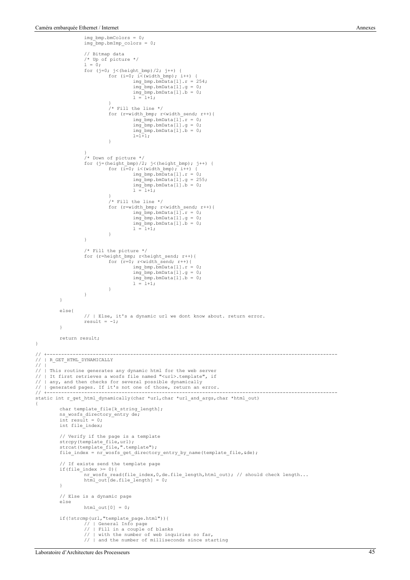img\_bmp.bmColors = 0;

```
img_bmp.bmImp_colors = 0;
                     // Bitmap data
                     /* Up of picture */
                     1 = 0;for (j=0; j<(height_bmp)/2; j++) {
                               for (i=0; i<(width bmp); i++) {
                                          \lim_{x \to 0} bmp.bmData[1].r = 254;
                                          img\_bmp.bmData[1].g = 0;img_bmp.bmData[l].b = 0;
l = l+1;
                                }
/* Fill the line */
                               for (r=width bmp; r<width send; r++){
                                          img \overline{bmp}.\overline{bmb}lata[1].r = 0;
                                          img\_bmp.bmData[1].g = 0;img\_bmp.bmData[1].b = 0;l=\stackrel{\sim}{l+1};
                               }
                     }
/* Down of picture */
                     for (j=(height_bmp)/2; j<(height_bmp); j++) {<br>
for (i=0; i<(width_bmp); i++) {<br>
img_bmp.bmData[l].r = 0;
                                           img_bmp.bmData[l].g = 255;
img_bmp.bmData[l].b = 0;
                                          1 = 1+1;
                                }
/* Fill the line */
                               for (r=width bmp; r<width send; r++){
                                          img\overline{\_bmp.bmp.bmbata[1]}, r = 0;img\_bmp.bmData[1].g = 0;img\_bmp.bmData[1].b = 0;1 = 1+1;
                               }
                     }
                     /* Fill the picture */
                     for (r=height\_bmp; r\le height\_send; r++) {<br>
for (r=0; r\le width send; r++) {
                                          \lim_{x \to 0} bmp.bmData[1].r = 0;
                                          img-bmp.bmData[l].g = 0;
                                          img\_bmp.bmData[1].b = 0;1 = 1+1;}
                     }
          }
          else{
                     // | Else, it's a dynamic url we dont know about. return error.
                     result = -1;}
          return result;
// +-----------------------------------------------------------------------------------------------------
// | R_GET_HTML_DYNAMICALLY
// | This routine generates any dynamic html for the web server
// | It first retrieves a wosfs file named "<url>.template", if
// | any, and then checks for several possible dynamically<br>// | generated pages. If it's not one of those, return an e
// | generated pages. If it's not one of those, return an error.
// +-----------------------------------------------------------------------------------------------------
static int r_get_html_dynamically(char *url,char *url_and_args,char *html_out)
          char template_file[k_string_length];
          ns wosfs directory entry de;
          int result = 0;
          int file index;
          // Verify if the page is a template
          strcpy(template_file,url);
strcat(template_file,".template");
          file_index = nr_wosfs_get_directory_entry_by_name(template_file,&de);
          // If existe send the template page
          if(file_index >= 0){
                     nr_wosfs_read(file_index,0,de.file_length,html_out); // should check length...<br>html out[de.file length] = 0;
          }
          // Else is a dynamic page
          else
                     html out[0] = 0;if(!strcmp(url,"template_page.html")){
                     // | General Info page
                     // | Fill in a couple of blanks
                     // | with the number of web inquiries so far,
// | and the number of milliseconds since starting
```
}

// |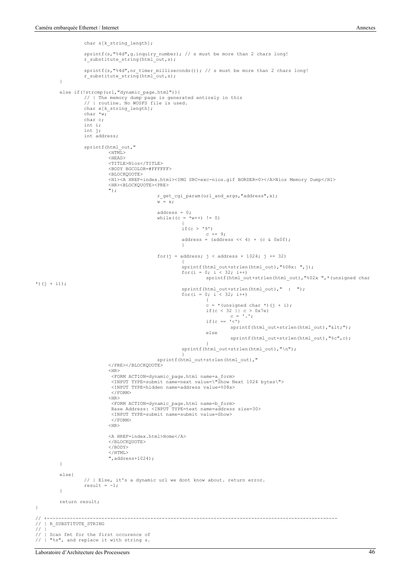```
char s[k string length];
                     sprintf(s,"%4d",g.inquiry_number); // s must be more than 2 chars long!
r_substitute_string(html_out,s);
                     sprintf(s,"%4d",nr_timer_milliseconds()); // s must be more than 2 chars long!<br>r substitute string(html_out,s);
          }
          else if(!strcmp(url,"dynamic_page.html")){
                     // | The memory dump page is generated entirely in this
// | routine. No WOSFS file is used.
                    char x[k_string_length];
                    char *w;
                    char c;
                    int i;
                    int j;
                    int address;
                    sprintf(html_out,"
                              <sub>HTML</sub></sub>
                              <HEAD>
                              <TITLE>Nios</TITLE>
                              <BODY BGCOLOR=#FFFFFF>
                               <BLOCKQUOTE>
                               <H1><A HREF=index.html><IMG SRC=exc-nios.gif BORDER=0></A>Nios Memory Dump</H1>
                              <HR><BLOCKQUOTE><PRE>
                              ");
                                                   r_get_cgi_param(url_and_args,"address",x);
                                                   w = x:
                                                   address = 0;while((c = *_{W++}) != 0)
                                                              {
if(c > '9')
                                                              c += 9;<br>address = (address << 4) + (c & 0x0f);
                                                              }
                                                   for(j = address; j < address + 1024; j += 32)
                                                              {
sprintf(html_out+strlen(html_out),"%08x: ",j);
for(i = 0; i < 32; i++)
                                                                        sprintf(html_out+strlen(html_out),"%02x ",*(unsigned char
*)(j + i);
                                                             sprintf(html_out+strlen(html_out)," : ");
                                                             for (i = 0; i < 32; i++){
                                                                        \bar{c} = * (unsigned char *)(j + i);
                                                                        if(c < 32 || c > 0x7e)<br>c = '.';
                                                                        if (c == \sqrt{5})
                                                                                 sprintf(html_out+strlen(html_out),"<");
                                                                        else
                                                                                  sprintf(html out+strlen(html out), "%c",c);
                                                                        }
                                                             sprintf(html_out+strlen(html_out),"\n");
                                                    }
sprintf(html_out+strlen(html_out),"
                               </PRE></BLOCKQUOTE>
                               <HR> <FORM ACTION=dynamic_page.html name=a_form>
 <INPUT TYPE=submit name=next value=\"Show Next 1024 bytes\">
                                <INPUT TYPE=hidden name=address value=%08x>
                                </FORM><HR> <FORM ACTION=dynamic_page.html name=b_form>
 Base Address: <INPUT TYPE=text name=address size=30>
 <INPUT TYPE=submit name=submit value=Show>
                                </FORM>
                               <HR><A HREF=index.html>Home</A>
                              </BLOCKQUOTE>
                              \langle/BODY></HTML>
",address+1024);
          }
          else{
                    // | Else, it's a dynamic url we dont know about. return error.
                    result = -1;}
          return result;
// +-----------------------------------------------------------------------------------------------------
// | R_SUBSTITUTE_STRING
     Scan fmt for the first occurence of
// | "%s", and replace it with string s.
```
 $\frac{1}{11}$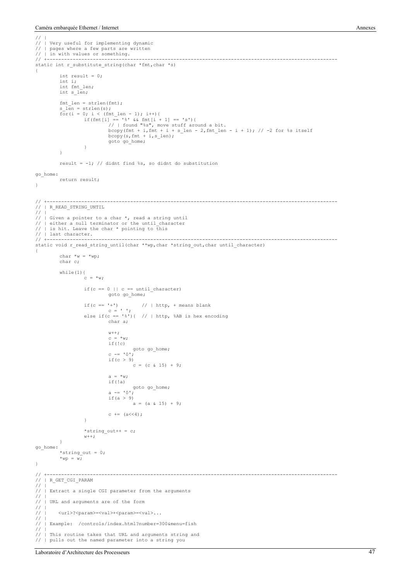```
// |
// | Very useful for implementing dynamic<br>// | pages where a few parts are written
   // | pages where a few parts are written
// | in with values or something.<br>// +------------------------------
// +-----------------------------------------------------------------------------------------------------
static int r_substitute_string(char *fmt,char *s)
{
          int result = 0:
          int i;
          int fmt_len;
          int s_len;
          fmt_length = strlen(fmt);<br>s len = strlen(s);
           s_len = strlen(s);<br>
for(i = 0; i < (fmt_len - 1); i++){<br>
if(fmt[i] == '%' && fmt[i + 1] == 's'){<br>
// | found "%s", move stuff around a bit.<br>
bcopy(fmt + i,fmt + i + s len - 2,fmt len - i + 1); // -2 for %s itself
                                bcopy(s, fmt + i, s_len);
                                goto go home;
                     }
          }
          result = -1; // didnt find %s, so didnt do substitution
go_home:
         return result;
}
// +-----------------------------------------------------------------------------------------------------
// | R_READ_STRING_UNTIL
// |
// | Given a pointer to a char *, read a string until<br>// | either a null terminator or the until character
// | is hit. Leave the char * pointing to this
// | last character.<br>// +----------------
                        // +-----------------------------------------------------------------------------------------------------
static void r_read_string_until(char **wp,char *string_out,char until_character)
{
          char *w = *wp;char c;
          while(1){
                     c = *w;if(c == 0 || c == until character)goto go home;
                     if(c == '+') // | http, + means blank
                                c = ' ' ';
                     else if(c == '%'){ // | http, %AB is hex encoding
                                char a;
                                w++;c = *w;if(!c)
                                goto go_home;
c -= '0';
                                if (c > 9)\int_{C} = (c \& 15) + 9;a = *w:
                                if(!a)
                                goto go_home;
a -= '0';
                                if(a > 9)
                                          a = (a \& 15) + 9;c \neq 6 \leq 4;
                     }
                     *string out++ = c;
                     w++;}
go_home:
           *string_out = 0;<br>*wp = w;
}
// +-----------------------------------------------------------------------------------------------------
// | R_GET_CGI_PARAM
\frac{1}{\sqrt{2}}// | Extract a single CGI parameter from the arguments
// |
   // | URL and arguments are of the form
\frac{7}{11}<url>?<param>=<val>+<param>=<val>...
//<br>//<br>//<br>//
    // | Example: /controls/index.html?number=300&menu=fish
\frac{1}{1}This routine takes that URL and arguments string and
// | pulls out the named parameter into a string you
```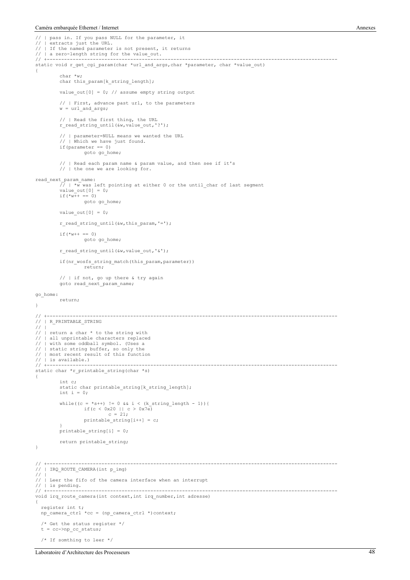```
// | pass in. If you pass NULL for the parameter, it<br>// | extracts just the URL.
\frac{1}{1} | extracts just the URL.<br>\frac{1}{1} | If the named parameter
   // | If the named parameter is not present, it returns
// | a zero-length string for the value_out.
// +-----------------------------------------------------------------------------------------------------
static void r_get_cgi_param(char *url_and_args,char *parameter, char *value_out)
{
          char *w;
          char this param[k string length];
          value_out[0] = 0; // assume empty string output
          // | First, advance past url, to the parameters
          w = ur1 and args;// | Read the first thing, the URL
          r_read_string_until(&w,value_out,'?');
          // | parameter=NULL means we wanted the URL
             | Which we have just found.
          if(parameter == 0)goto go_home;
          // | Read each param name & param value, and then see if it's
          // | the one we are looking for.
read_next_param_name:
             / \bar{w} was left pointing at either 0 or the until char of last segment
          value_out[0] = 0;if (*w++ == 0)goto go home:
          value out [0] = 0;
          r_read_string_until(\&w, this_param, '=');
          if (*w++ == 0)goto go home;
          r_read_string_until(&w,value_out,'&');
          if(nr wosfs string match(this param, parameter))
                   return;
          // | if not, go up there & try again
          goto read_next_param_name;
go_home:
         return;
}
// +-----------------------------------------------------------------------------------------------------
// | R_PRINTABLE_STRING
// |
// | return a char * to the string with<br>// | all unprintable characters replace
// | all unprintable characters replaced<br>// | with some oddball symbol. (Uses a
// | with some oddball symbol. (Uses a<br>// | static string buffer, so only the
// | static string buffer, so only the
// | most recent result of this function
// | is available.)
                                                                 // +-----------------------------------------------------------------------------------------------------
static char *r_printable_string(char *s)
{
          int c;
          static char printable_string[k_string_length];
          int i = 0;while((c = *s++) != 0 && i < (k_string_length - 1)){
                    if(c < 0x20 || c > 0x7e)
c = 21;
                    printable string[i++] = c;
          }<br>printable string[i] = 0;
         return printable_string;
}
                                            // +-----------------------------------------------------------------------------------------------------
// | IRQ ROUTE CAMERA(int p_img)
1/ |// | Leer the fifo of the camera interface when an interrupt
\frac{1}{1} is pending.
                      // +-----------------------------------------------------------------------------------------------------
void irq_route_camera(int context,int irq_number,int adresse)
{
   register int t;
   np_camera_ctrl *cc = (np_camera_ctrl *)context;
   /* Get the status register */
  t = cc->np\_cc\_status; /* If somthing to leer */
```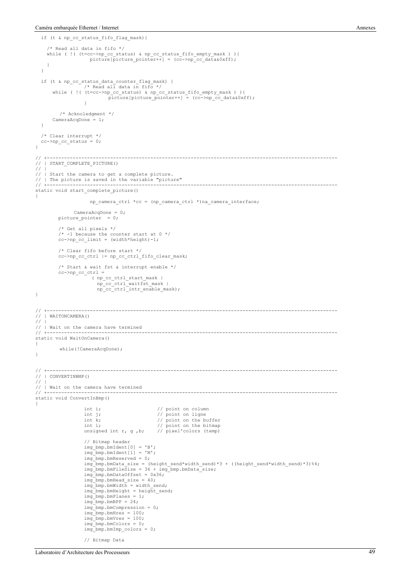```
 if (t & np_cc_status_fifo_flag_mask){
     /* Read all data in fifo */
 while ( !( (t=cc->np_cc_status) & np_cc_status_fifo_empty_mask ) ){
 picture[picture_pointer++] = (cc->np_cc_data&0xff);
     }
   }
  if (t & np cc status data counter flag mask) {
                   /* Read all data in fifo */
 while ( !( (t=cc->np_cc_status) & np_cc_status_fifo_empty_mask ) ){
picture[picture_pointer++] = (cc->np_cc_data&0xff);
                   }
          /* Acknoledgment */
      CameraAcqDone = 1; }
   /* Clear interrupt */
  cc->np\_cc\_status = 0;}
// +-----------------------------------------------------------------------------------------------------
// | START_COMPLETE_PICTURE()
1/1// | Start the camera to get a complete picture.
// | The picture is saved in the variable "picture"
                                                         \mathcal{N}^{\prime\prime}static void start_complete_picture()
{
                     np camera ctrl *cc = (np camera ctrl *)na camera interface;
                CameraAcqDone = 0;
         picture_pointer = 0;
          /* Get all pixels */
         /* -1 because the counter start at 0 * /cc\text{-}>np cc limit = (width*height)-1;
          /* Clear fifo before start */
         cc->np_cc_ctrl |= np_cc_ctrl_fifo_clear_mask;
          /* Start & wait fst & interrupt enable */
        cc->np\_cc\_ctrl =
                      ( np_cc_ctrl_start_mask |
          np_cc_ctrl_waitfst_mask |
 np_cc_ctrl_intr_enable_mask);
}
// +-----------------------------------------------------------------------------------------------------
// | WAITONCAMERA()
// |
// | Wait on the camera have termined<br>// +-------------------------------
// +-----------------------------------------------------------------------------------------------------
static void WaitOnCamera()
{
         while(!CameraAcqDone);
}
// +-----------------------------------------------------------------------------------------------------
// | CONVERTINBMP()
/// | Wait on the camera have termined<br>// +---------------------------------
// +-----------------------------------------------------------------------------------------------------
static void ConvertInBmp()
{
                   int i; // point on column<br>int j; // point on ligne
                   int k; \frac{1}{2} // point on the buffer<br>int 1; \frac{1}{2} // point on the buffer
                   int l; // point on the bitmap
unsigned int r, g ,b; // pixel'colors (temp)
                   // Bitmap header
                   img\_bmp.bmIdent[0] = 'B';img bmp.bmIdent[1] = 'M';
                   img-bmp.bmReserved = 0;
                   img_bmp.bmData_size = (height_send*width_send)*3 + ((height_send*width_send)*3)%4;
                   img_bmp.bmFileSize = 36 + img_bmp.bmData_size;
                   img_bmp.bmDataOffset = 0x36;
img_bmp.bmHead_size = 40;
                   img_bmp.bmWidth = width send;
                   img-bmp.bmHeight = height send;
                   img_bmp.bmPlanes = 1;
                   img bmp.bmBPP = 24;
                   img_bmp.bmCompression = 0;
                   img bmp.bmHres = 100;
                   img_bmp.bmVres = 100;
                   img_bmp.bmColors = 0;
                   img_bmp.bmImp_colors = 0;
```

```
// Bitmap Data
```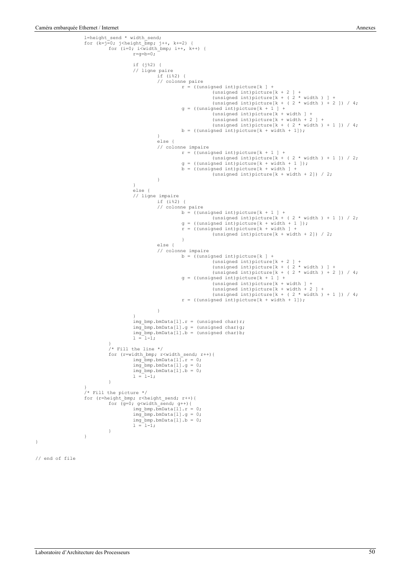```
l=height_send * width_send;<br>for (k=j=0; j<height_bmp; j++, k+=2) {<br>for (i=0; i<width_bmp; i++, k++) {
                            r=g=b=0;
                             if (j%2) {
// ligne paire
                                         if (i\{2}) {
                                          // colonne paire
                                                        r = ((unsigned int)picture[k ] +
                                                          (unsigned int)picture[k + 2 ] +
 (unsigned int)picture[k + ( 2 * width ) ] +
 (unsigned int)picture[k + ( 2 * width ) + 2 ]) / 4;
g = ((unsigned int)picture[k + 1 ] +
                                                                        (unsigned int)picture[k + width ] +
 (unsigned int)picture[k + width + 2 ] +
                                                         (unsigned int)picture[k + ( 2 * width ) + 1 ]) / 4;<br>b = ((unsigned int)picture[k + width + 1]);
                                          }
                                          else {
                                          // colonne impaire
                                                       r = ((unsigned int)picture[k + 1 ] +
                                                         (unsigned int)picture[k + ( 2 * width ) + 1 ]) / 2;<br>
g = ((unsigned int)picture[k + width + 1 ]);<br>
b = ((unsigned int)picture[k + width ] +<br>
(unsigned int)picture[k + width + 2]) / 2;
                                          }
                            }
                            else {
                            // ligne impaire
                                          if (i§2) {
                                          // colonne paire
                                                        b = ((unsigned int)picture[k + 1 ] +
                                                          (unsigned int)picture[k + ( 2 * width ) + 1 ]) / 2;
g = ((unsigned int)picture[k + width + 1 ]);
r = ((unsigned int)picture[k + width ] +
                                                                         (unsigned int)picture[k + width + 2]) / 2;
                                                        }
                                          else {
                                          // colonne impaire
                                                         b = ((unsigned int)picture[k ] +
 (unsigned int)picture[k + 2 ] +
                                                                       (unsigned int)picture[k + ( 2 * width ) ] +<br>(unsigned int)picture[k + ( 2 * width ) + 2 ]) / 4;
                                                         g = ((unsigned int)picture[k + 1 ] +
                                                                        (unsigned int)picture[k + width ] +
 (unsigned int)picture[k + width + 2 ] +
 (unsigned int)picture[k + ( 2 * width ) + 1 ]) / 4;
                                                         r = ((\text{unsigned int})\text{picture}[k + \text{width} + 1]);}
                            \mathbf{v}img_bmp.bmData[l].r = (unsigned char)r;
img_bmp.bmData[l].g = (unsigned char)g;
                             img_bmp.bmData[1].b = (unsigned char)b;<br>l = l-1;
              }
              /* Fill the line */for (r=width_bmp; r<width_send; r++){
                             img\_bmp.bmData[1].r = 0;<br>img bmp.bmData[1].g = 0;img_bmp.bmData[l].b = 0;
l = l-1;
              }
}
/* Fill the picture */
for (r=height_bmp; r<height_send; r++){
              for \overline{(g=0; g\leq w\leq h)} send; g++){
                             img\_bmp.bmData[1].r = 0;<br>img bmp.bmData[1].g = 0;img_bmp.bmData[l].b = 0;
l = l-1;
             }
}
```

```
// end of file
```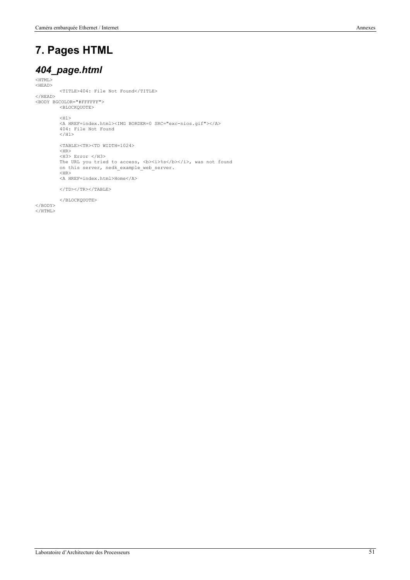### **7. Pages HTML**

#### *404\_page.html*

<HTML> <HEAD> <TITLE>404: File Not Found</TITLE>  $<$ /HEAD>  $<$ BODY BGCOLOR="#FFFFFF"> <BLOCKQUOTE>  $<$ H1> <A HREF=index.html><IMG BORDER=0 SRC="exc-nios.gif"></A> 404: File Not Found </H1> <TABLE><TR><TD WIDTH=1024>  $<$ HR $>$ <H3> Error </H3>

The URL you tried to access, <b><</b>>/>>></b></b></b>, was not found on this server, nedk\_example\_web\_server.  $<$ HR $>$ <A HREF=index.html>Home</A>

 $<$ /TD> $<$ /TR> $<$ /TABLE>

</BLOCKQUOTE>

</BODY>  $<$ /HTML>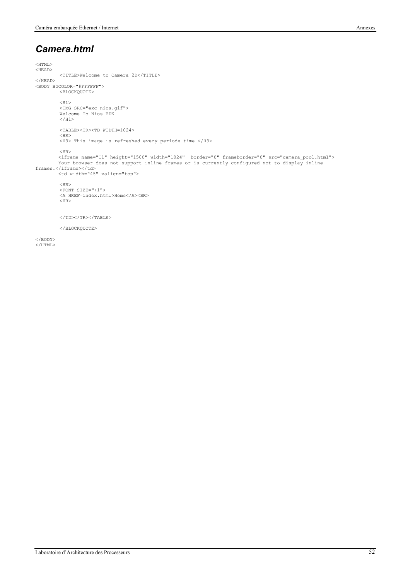#### *Camera.html*

<HTML> <HEAD> <TITLE>Welcome to Camera 2D</TITLE> </HEAD>  $<$ BODY BGCOLOR="#FFFFFF"> <BLOCKQUOTE>  $<$ H1> <IMG SRC="exc-nios.gif"> Welcome To Nios EDK  $<$ /H1> <TABLE><TR><TD WIDTH=1024>  $<$ HR $>$ <H3> This image is refreshed every periode time </H3>  $<$ HR $>$  <iframe name="I1" height="1500" width="1024" border="0" frameborder="0" src="camera\_pool.html"> Your browser does not support inline frames or is currently configured not to display inline frames.</iframe></td><br><td width="45" valign="top">  $$\rm$ <FONT SIZE="+1"> <A HREF=index.html>Home</A><BR>  $H$ </TD></TR></TABLE> </BLOCKQUOTE> </BODY>

 $<$ /HTML>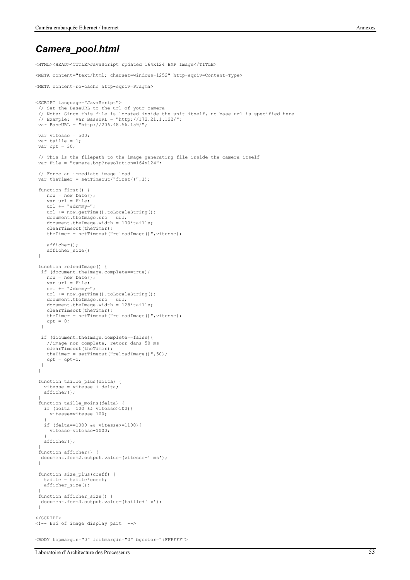#### *Camera\_pool.html*

<HTML><HEAD><TITLE>JavaScript updated 164x124 BMP Image</TITLE>

```
<META content="text/html; charset=windows-1252" http-equiv=Content-Type>
<META content=no-cache http-equiv=Pragma>
<SCRIPT language="JavaScript">
  // Set the BaseURL to the url of your camera
 // Note: Since this file is located inside the unit itself, no base url is specified here
 // Example: var BaseURL = "http://172.21.1.122/";
 var BaseURL = "http://206.48.56.159/";
  var vitesse = 500;
  var taille = 1;
  var cpt = 30;
 // This is the filepath to the image generating file inside the camera itself
 var File = "camera.bmp?resolution=164x124";
  // Force an immediate image load
 var theTimer = setTimeout("first()", 1); function first() {
    now = new Date();
    var url = File;
     url += "&dummy=";
     url += now.getTime().toLocaleString();
 document.theImage.src = url;
 document.theImage.width = 100*taille;
     clearTimeout(theTimer);
     theTimer = setTimeout("reloadImage()",vitesse);
     afficher();
     afficher_size()
  }
  function reloadImage() {
   if (document.theImage.complete==true){
    now = new Date():
     var url = File;
    url += "adummy=";url += now.getTime().toLocaleString();
     document.theImage.src = url;
     document.theImage.width = 128*taille;
 clearTimeout(theTimer);
 theTimer = setTimeout("reloadImage()",vitesse);
    cpt = 0;\overline{1} if (document.theImage.complete==false){
     //image non complete, retour dans 50 ms
     clearTimeout(theTimer);
    theTimer = setTime ("reloadImage()",50);
    cpt = cpt+1; }
 \mathbf{r} function taille_plus(delta) {
   vitesse = vitesse + delta;
    afficher();
 }
 function taille_moins(delta) {
 if (delta==100 && vitesse>100){
      vitesse=vitesse-100;
 }
    if (delta==1000 && vitesse>=1100){
      vitesse=vitesse-1000;
   \lambda afficher();
 }
  function afficher() {
   document.form2.output.value=(vitesse+' ms');
  }
  function size_plus(coeff) {
    taille = taille*coeff;
    afficher_size();
 }
 function afficher size() {
  document.form3.output.value=(taille+' x');
  }
</SCRIPT>
<!-- End of image display part -->
<BODY topmargin="0" leftmargin="0" bgcolor="#FFFFFF">
```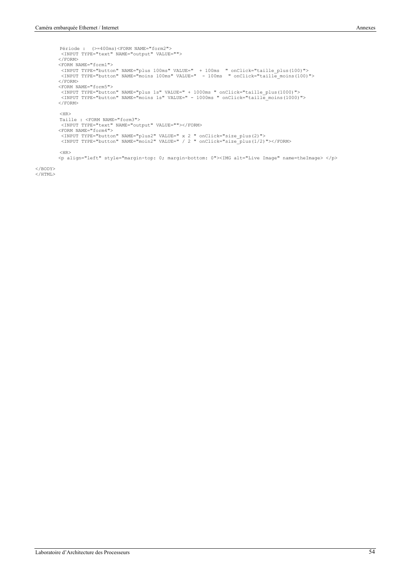```
Période : (>=400ms)<FORM NAME="form2">
             <INPUT TYPE="text" NAME="output" VALUE="">
           </FORM><FORM NAME="form1"><br><INPUT TYPE="button" NAME="plus 100ms" VALUE="  + 100ms  " onClick="taille_plus(100)"><br><INPUT TYPE="button" NAME="moins 100ms" VALUE="  - 100ms  " onClick="taille moins(100)">
           </FORM> <FORM NAME="form5">
 <INPUT TYPE="button" NAME="plus 1s" VALUE=" + 1000ms " onClick="taille_plus(1000)">
 <INPUT TYPE="button" NAME="moins 1s" VALUE=" - 1000ms " onClick="taille_moins(1000)">
            </FORM>
           <HR>
           Taille : <FORM NAME="form3">
 <INPUT TYPE="text" NAME="output" VALUE=""></FORM>
 <FORM NAME="form4">
 <INPUT TYPE="button" NAME="plus2" VALUE=" x 2 " onClick="size_plus(2)">
 <INPUT TYPE="button" NAME="moin2" VALUE=" / 2 " onClick="size_plus(1/2)"></FORM>
           $\rm<br/>HR> <p align="left" style="margin-top: 0; margin-bottom: 0"><IMG alt="Live Image" name=theImage> </p>
```

```
</BODY>
</HTML>
```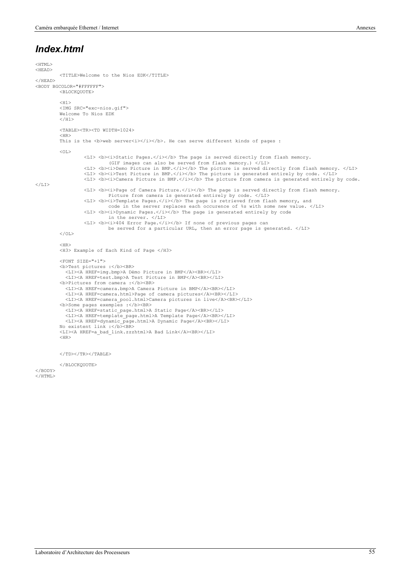#### *Index.html*

```
<HTML>
<HEAD>
         <TITLE>Welcome to the Nios EDK</TITLE>
\angle/HFAD>
<BODY BGCOLOR="#FFFFFF">
         <BLOCKQUOTE>
         <H1>
          <IMG SRC="exc-nios.gif">
         Welcome To Nios EDK
         </H1>
         <TABLE><TR><TD WIDTH=1024>
          <HR>This is the s web serversi>/i>s/b>. He can serve different kinds of pages :
         \leq 0T.><LI> <b><i>Static Pages.</i></b> The page is served directly from flash memory.
(GIF images can also be served from flash memory.) </LI>
                    <LI> <b><i>Demo Picture in BMP.</i></b> The picture is served directly from flash memory. </LI>
<LI> <b><i>Test Picture in BMP.</i></b> The picture is generated entirely by code. </LI>
                   <LI> <b><i>Camera Picture in BMP.</i></b> The picture from camera is generated entirely by code.
\langle/LI>
                   <LI> <b><i>Page of Camera Picture.</i></b> The page is served directly from flash memory.
                             Picture from camera is generated entirely by code. </LI>
                   <LI> <b><i>Template Pages.</i></b> The page is retrieved from flash memory, and
                             code in the server replaces each occurence of %s with some new value. </LI>
                   <LI> <b><i>Dynamic Pages.</i></b> The page is generated entirely by code
                    in the server. </LI>
<LI> <b><i>404 Error Page.</i></b> If none of previous pages can
                             be served for a particular URL, then an error page is generated. </LI>
         \langle/OL>\langle HR \rangle<H3> Example of Each Kind of Page </H3>
         <FONT SIZE="+1">
          <b>Test pictures :</b><BR>
             <LI><A HREF=img.bmp>A Démo Picture in BMP</A><BR></LI>
             <LI><A HREF=test.bmp>A Test Picture in BMP</A><BR></LI>
         <b>Pictures from camera :</b><BR>
             <LI><A HREF=camera.bmp>A Camera Picture in BMP</A><BR></LI>
             <LI><A HREF=camera.html>Page of camera pictures</A><BR></LI>
             <LI><A HREF=camera_pool.html>Camera pictures in live</A><BR></LI>
         <b>Some pages exemples :</b><BR>
           <LI><A HREF=static_page.html>A Static Page</A><BR></LI>
 <LI><A HREF=template_page.html>A Template Page</A><BR></LI>
             <LI><A HREF=dynamic_page.html>A Dynamic Page</A><BR></LI>
         No existent link :</b><BR>
          <LI><A HREF=a_bad_link.zzzhtml>A Bad Link</A><BR></LI>
         <HR></TD></TR></TABLE>
```
</BLOCKQUOTE> </BODY>

 $<$ /HTML>